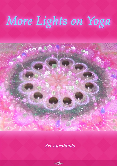# More Lights on Yoga



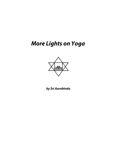# *More Lights on Yoga*



*by Sri Aurobindo*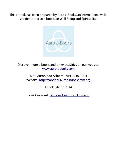This e-book has been prepared by Auro e-Books, an international website dedicated to e-books on Well-Being and Spirituality.



Discover more e-books and other activities on our website: [www.auro-ebooks.com](http://www.auro-ebooks.com/)

> © Sri Aurobindo Ashram Trust 1948, 1983 Website: [http://sabda.sriaurobindoashram.org](http://sabda.sriaurobindoashram.org/)

> > Ebook Edition 2014

Book Cover Art: [Glorious Heart by nil nimand](http://4art.com/photo/gloriuos-heart?context=user)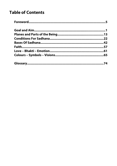## **Table of Contents**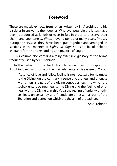#### <span id="page-4-0"></span>**Foreword**

These are mostly extracts from letters written by Sri Aurobindo to his disciples in answer to their queries. Wherever possible the letters have been reproduced at length or even in full, in order to preserve their charm and spontaneity. Written over a period of many years, (mostly during the 1930s), they have been put together and arranged in sections in the manner of *Lights on Yoga* so as to be of help to aspirants for the understanding and practice of yoga.

This volume also contains a fairly extensive glossary of the terms frequently used by Sri Aurobindo.

In this collection of extracts from letters written to disciples, Sri Aurobindo explains some of the main elements of his system of Yoga.

"Absence of love and fellow feeling is not necessary for nearness to the Divine; on the contrary, a sense of closeness and oneness with others is a part of the divine consciousness into which the sadhak enters by nearness to the Divine and the feeling of oneness with the Divine.... In this Yoga the feeling of unity with others, love, universal joy and Ananda are an essential part of the liberation and perfection which are the aim of the sadhana."

Sri Aurobindo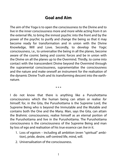### <span id="page-5-0"></span>**Goal and Aim**

The aim of the Yoga is to open the consciousness to the Divine and to live in the inner consciousness more and more while acting from it on the external life, to bring the inmost psychic into the front and by the power of the psychic to purify and change the being so that it may become ready for transformation and in union with the Divine Knowledge, Will and Love. Secondly, to develop the Yogic consciousness, i.e., to universalise the being in all the planes, become aware of the cosmic being and cosmic forces and be in union with the Divine on all the planes up to the Overmind. Thirdly, to come into contact with the transcendent Divine beyond the Overmind through the supramental consciousness, supramentalise the consciousness and the nature and make oneself an instrument for the realisation of the dynamic Divine Truth and its transforming descent into the earthnature.

\* \* \*

I do not know that there is anything like a Purushottama consciousness which the human being can attain or realise *for himself*; for, in the Gita, the Purushottama is the Supreme Lord, the Supreme Being who is beyond the Immutable and the Mutable and contains both the One and the Many. Man, says the Gita, can attain the Brahmic consciousness, realise himself as an eternal portion of the Purushottama and live in the Purushottama. The Purushottama consciousness is the consciousness of the Supreme Being and man by loss of ego and realisation of his true essence can *live in* it.

- 1. Loss of egoism including all ambition (even "spiritual" ambition), pride, desire, self-centred life, mind, will.
- 2. Universalisation of the consciousness.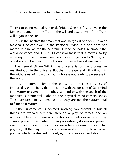3. Absolute surrender to the transcendental Divine.

\* \* \*

There can be no mental rule or definition. One has first to live in the Divine and attain to the Truth – the will and awareness of the Truth will organise the life.

It is in the inactive Brahman that one merges, if one seeks Laya or Moksha. One can dwell in the Personal Divine, but one does not merge in him. As for the Supreme Divine he holds in himself the world existence and it is in His consciousness that it moves, so by entering into the Supreme one rises above subjection to Nature, but one does not disappear from all consciousness of world-existence.

The general Divine Will in the universe is for the progressive manifestation in the universe. But that is the general will – it admits the withdrawal of individual souls who are not ready to persevere in the world.

It is not immortality of the body, but the consciousness of immortality *in* the body that can come with the descent of Overmind into Matter or even into the physical mind or with the touch of the modified supramental Light on the physical mind-consciousness. These are preliminary openings, but they are not the supramental fulfilment in Matter.

If the Supramental is decreed, nothing can prevent it; but all things are worked out here through a play of forces, and an unfavourable atmosphere or conditions can delay even when they cannot prevent. Even when a thing is destined, it does not present itself as a certitude in the consciousness here (Overmind-mind-vitalphysical) till the play of forces has been worked out up to a certain point at which the descent not only is, but appears as inevitable.

\* \* \*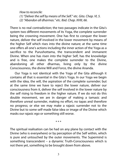*How to reconcile: (1) "Deliver the self by means of the Self." etc. Gita. Chap. VI, 5. (2) "Abandon all dharmas." etc. Ibid. Chap. XVIII, 66.*

There is no real contradiction; the two passages indicate in the Gita's system two different movements of its Yoga, the complete surrender being the crowning movement. One has first to conquer the lower nature, deliver the self involved in the lower movement by means of the higher Self which rises into the divine nature; at the same time one offers all one's actions including the inner action of the Yoga as a sacrifice to the Purushottama, the transcendent and immanent Divine. When one has risen into the higher Self, has the knowledge and is free, one makes the complete surrender to the Divine, abandoning all other dharmas, living only by the divine Consciousness, the divine Will and Force, the divine Ananda.

Our Yoga is not identical with the Yoga of the Gita although it contains all that is essential in the Gita's Yoga. In our Yoga we begin with the idea, the will, the aspiration of the complete surrender; but at the same time we have to reject the lower nature, deliver our consciousness from it, deliver the self involved in the lower nature by the self rising to freedom in the higher nature. If we do not do this double movement, we are in danger of making a tamasic and therefore unreal surrender, making no effort, no tapas and therefore no progress; or else we may make a rajasic surrender not to the Divine but to some self-made false idea or image of the Divine which masks our rajasic ego or something still worse.

\* \* \*

The spiritual realisation can be had on any plane by contact with the Divine (who is everywhere) or by perception of the Self within, which is pure and untouched by the outer movements. The Supermind is something transcendent – a dynamic Truth-Consciousness which is not there yet, something to be brought down from above.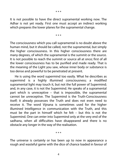\* \* \*

It is not possible to have the direct supramental working now. The Adhar is not yet ready. First one must accept an indirect working which prepares the lower planes for the supramental change.

\* \* \*

The consciousness which you call supramental is no doubt above the human mind, but it should be called, not the supramental, but simply the higher consciousness. In this higher consciousness there are many degrees, of which the supramental is the summit or the source. It is not possible to reach the summit or source all at once; first of all the lower consciousness has to be purified and made ready. That is the meaning of the Light you saw, whose inner body or substance is too dense and powerful to be penetrated at present.

He is using the word supermind too easily. What he describes as supermind is a highly illumined consciousness; a modified supramental light may touch it, but not the full power of Supermind; and, in any case, it is not the Supermind. He speaks of a supramental part which is unreceptive – that is impossible, the supramental cannot be unreceptive. The Supermind is the Truth-Consciousness itself; it already possesses the Truth and does not even need to receive it. The word Vijnana is sometimes used for the higher illumined Intelligence in communication with the Truth, and this must be the part in himself which he felt – but this is not the Supermind. One can enter into Supermind only at the very end of the sadhana, when all difficulties have disappeared and there is no obstacle any longer in the way of the realisation.

\* \* \*

The universe is certainly or has been up to now in appearance a rough and wasteful game with the dice of chance loaded in favour of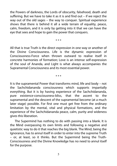the Powers of darkness, the Lords of obscurity, falsehood, death and suffering. But we have to take it as it is and find out – if we reject the way out of the old sages – the way to conquer. Spiritual experience shows that there is behind it all a wide terrain of equality, peace, calm, freedom, and it is only by getting into it that we can have the eye that sees and hope to gain the power that conquers.

\* \* \*

All that is true Truth is the direct expression in one way or another of the Divine Consciousness. Life is the dynamic expression of Consciousness-Force when thrown outward to realise itself in concrete harmonies of formation; Love is an intense self-expression of the soul of Ananda, and Light is what always accompanies the Supramental Consciousness and its most essential power.

\* \* \*

It is the supramental Power that transforms mind, life and body – not the Sachchidananda consciousness which supports impartially everything. But it is by having experience of the Sachchidananda, pure existence-consciousness-bliss, that the ascent to the supramental and the descent of the supramental become (at a much later stage) possible. For first one must get free from the ordinary limitation by the mental, vital and physical formations, and the experience of the Sachchidananda peace, calm, purity and wideness gives this liberation.

The Supermind has nothing to do with passing into a blank. It is the Mind overpassing its own limits and following a negative and quietistic way to do it that reaches the big blank. The Mind, being the Ignorance, has to annul itself in order to enter into the supreme Truth – or, at least, so it thinks. But the Supermind being the Truth-Consciousness and the Divine Knowledge has no need to annul itself for the purpose.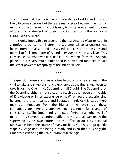\* \* \*

The supramental change is the ultimate stage of siddhi and it is not likely to come so soon; but there are many levels between the normal mind and the Supermind and it is easy to mistake an ascent into one of them or a descent of their consciousness or influence for a supramental change.

It is quite impossible to ascend to the real Ananda *plane* (except in a profound trance), until after the supramental consciousness has been entered, realised and possessed; but it is quite possible and normal to feel some form of Ananda *consciousness* on any level. This consciousness wherever it is felt is a derivation from the Ananda plane, but it is very much diminished in power and modified to suit the lesser power of receptivity of the inferior levels.

\* \* \*

The question arose and always arises because of an eagerness in the vital to take any stage of strong experience as the final stage, even to take it for the Overmind, Supermind, full Siddhi. The Supermind or the Overmind either is not so easy to reach as that, even on the side of Knowledge or inner experience only. What you are experiencing belongs to the spiritualised and liberated mind. At this stage there may be intimations from the higher mind levels, but these intimations are merely isolated experiences, not a full change of consciousness. The Supermind is not part of mind or a higher level of mind – it is something entirely different. No sadhak can reach the supermind by his own efforts and the effort to do it by personal tapasya has been the source of many mishaps. One has to go quietly stage by stage until the being is ready and even then it is only the Grace that can bring the real supramental change.

\* \* \*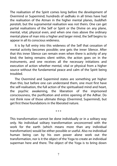The realisation of the Spirit comes long before the development of Overmind or Supermind; hundreds of sadhaks in all times have had the realisation of the Atman in the higher mental planes, *buddheh paratah,* but the supramental realisation was not theirs. One can get partial realisations of the Self or Spirit or the Divine on any plane, mental, vital, physical even, and when one rises above the ordinary mental plane of man into a higher and larger mind, the Self begins to appear in all its conscious wideness.

It is by full entry into this wideness of the Self that cessation of mental activity becomes possible; one gets the inner Silence. After that this inner Silence can remain even when there is activity of any kind; the being remains silent within, the action goes on in the instruments, and one receives all the necessary initiations and execution of action whether mental, vital or physical from a higher source without the fundamental peace and calm of the Spirit being troubled.

The Overmind and Supermind states are something yet higher than this; but before one can understand them, one must first have the self-realisation, the full action of the spiritualised mind and heart, the psychic awakening, the liberation of the imprisoned consciousness, the purification and entire opening of the Adhar. Do not think now of those ultimate things (Overmind, Supermind), but get first these foundations in the liberated nature.

\* \* \*

This transformation cannot be done individually or in a solitary way only. No individual solitary transformation unconcerned with the work for the earth (which means more than any individual transformation) would be either possible or useful. Also no individual human being can by his own power alone work out the transformation, nor is it the object of the Yoga to create an individual superman here and there. The object of the Yoga is to bring down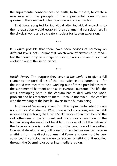the supramental consciousness on earth, to fix it there, to create a new race with the principle of the supramental consciousness governing the inner and outer individual and collective life.

That force accepted by individual after individual according to their preparation would establish the supramental consciousness in the physical world and so create a nucleus for its own expansion.

\* \* \*

It is quite possible that there have been periods of harmony on different levels, not supramental, which were afterwards disturbed – but that could only be a stage or resting place in an arc of spiritual evolution out of the Inconscience.

\* \* \*

*Hostile Forces.* The purpose they serve *in the world* is to give a full chance to the possibilities of the Inconscience and Ignorance – for this world was meant to be a working out of these possibilities with the supramental harmonisation as its eventual outcome. The life, the work developing here in the Ashram has to deal with the world problem and has therefore to meet – it could not avoid – the conflict with the working of the hostile Powers in the human being.

To speak of "receiving power from the Supramental when we are not conscious" is strange. When one is not conscious, one can still receive a higher force, the Divine Shakti works often from behind the veil, otherwise in the ignorant and unconscious condition of the human being she would not be able to work at all. But the nature of the force or action is modified to suit the condition of the sadhak. One must develop a very full consciousness before one can receive anything from the direct supramental Power and one must be very advanced in consciousness even to receive something of it modified through the Overmind or other intermediate region.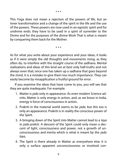\* \* \*

This Yoga does not mean a rejection of the powers of life, but an inner transformation and a change of the spirit in the life and the use of the powers. These powers are now used in an egoistic spirit and for undivine ends; they have to be used in a spirit of surrender to the Divine and for the purposes of the divine Work That is what is meant by conquering them back for the Mother.

\* \* \*

As for what you write about your experience and your ideas, it looks as if it were simply the old thoughts and movements rising, as they often do, to interfere with the straight course of the sadhana. Mental realisations and ideas of this kind are at best only half-truths and not always even that; once one has taken up a sadhana that goes beyond the mind, it is a mistake to give them too much importance. They can easily become by misapplication a fruitful ground for error.

If you examine the ideas that have come to you, you will see that they are quite inadequate. For example:

- 1. Matter is *jada* only in appearance. As even modern Science admits, Matter is only energy in action, and, as we know in India, energy is force of consciousness in action.
- 2. Prakriti in the material world seems to be *jada,* but this too is only an appearance. Prakriti is in reality the conscious power of the Spirit.
- 3. A bringing down of the Spirit into Matter cannot lead to a *laya* in *jada prakrti.* A descent of the Spirit could only mean a descent of light, consciousness and power, not a growth of unconsciousness and inertia which is what is meant by the *jada laya.*
- 4. The Spirit is there already in Matter as everywhere else; it is only a surface apparent unconsciousness or involved con-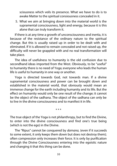sciousness which veils its presence. What we have to do is to awake Matter to the spiritual consiousness concealed in it.

 5. What we aim at bringing down into the material world is the supramental consciousness, light and energy, because it is this alone that can truly transform it.

If there is at any time a growth of unconsciousness and inertia, it is because of the resistance of the ordinary nature to the spiritual change. But this is usually raised up in order to be dealt with and eliminated. If it is allowed to remain concealed and not raised up, the difficulty will never be grappled with and no real transformation will take place.

The idea of usefulness to humanity is the old confusion due to secondhand ideas imported from the West. Obviously, to be "useful" to humanity there is no need of Yoga; everyone who leads the human life is useful to humanity in one way or another.

Yoga is directed towards God, not towards man. If a divine supramental consciousness and power can be brought down and established in the material world, that obviously would mean an immense change for the earth including humanity and its life. But the effect on humanity would only be one result of the change; it cannot be the object of the sadhana. The object of the sadhana can only be to live in the divine consciousness and to manifest it in life.

\* \* \*

The true object of the Yoga is not philanthropy, but to find the Divine, to enter into the divine consciousness and find one's true being (which is not the ego) in the Divine.

The "Ripus" cannot be conquered by *damana,* (even if it succeeds to some extent, it only keeps them down but does not destroy them); often compression only increases their force. It is only by purification through the Divine Consciousness entering into the egoistic nature and changing it that this thing can be done.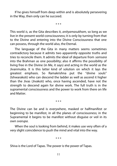If he gives himself from deep within and is absolutely persevering in the Way, then only can he succeed.

\* \* \*

This world *is,* as the Gita describes it, *anityamasukham,* so long as we live in the present world-consciousness; it is only by turning from that to the Divine and entering into the Divine Consciousness that one can possess, through the world also, the Eternal.

The language of the Gita in many matters seems sometimes contradictory because it admits two apparently opposite truths and tries to reconcile them. It admits the ideal of departure from *samsara* into the Brahman as one possibility; also it affirms the possibility of living free in the Divine (in Me, it says) and acting in the world as the Jivanmukta. It is this latter kind of solution on which it lays the greatest emphasis. So Ramakrishna put the "divine souls" (Ishwarakoti) who can descend the ladder as well as ascend it higher than the Jivas (Jivakoti) who, once having ascended, have not the strength to descend again for divine work. The full truth is in the supramental consciousness and the power to work from there on life and Matter.

\* \* \*

The Divine can be and is everywhere, masked or halfmanifest or beginning to be manifest, in all the planes of consciousness; in the Supramental it begins to be manifest without disguise or veil in its own *svarupa.*

When the soul is looking from behind, it makes use very often of a very slight coincidence to push the mind and vital into the way.

\* \* \*

Shiva is the Lord of Tapas. The power is the power of Tapas.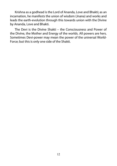Krishna as a godhead is the Lord of Ananda, Love and Bhakti; as an incarnation, he manifests the union of wisdom (Jnana) and works and leads the earth-evolution through this towards union with the Divine by Ananda, Love and Bhakti.

The Devi is the Divine Shakti – the Consciousness and Power of the Divine, the Mother and Energy of the worlds. All powers are hers. Sometimes Devi-power may mean the power of the universal World-Force; but this is only one side of the Shakti.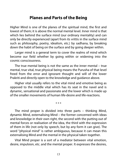#### <span id="page-17-0"></span>**Planes and Parts of the Being**

Higher Mind is one of the planes of the spiritual mind, the first and lowest of them; it is above the normal mental level. Inner mind is that which lies behind the surface mind (our ordinary mentality) and can only be directly experienced (apart from its vrittis in the surface mind such as philosophy, poetry, idealism, etc.) by sadhana, by breaking down the habit of being on the surface and by going deeper within.

Larger mind is a general term to cover the realms of mind which become our field whether by going within or widening into the cosmic consciousness.

The true mental being is not the same as the inner mental – true mental, true vital, true physical being means the Purusha of that level freed from the error and ignorant thought and will of the lower Prakriti and directly open to the knowledge and guidance above.

Higher vital usually refers to the vital mind and emotive being as opposed to the middle vital which has its seat in the navel and is dynamic, sensational and passionate and the lower which is made up of the smaller movements of human life-desire and life-reactions.

\* \* \*

The mind proper is divided into three parts – thinking Mind, dynamic Mind, externalising Mind – the former concerned with ideas and knowledge in their own right, the second with the putting out of mental forces or realisation of the idea, the third with the expression of them in life (not only by speech, but by any form it can give). The word "physical mind" is rather ambiguous, because it can mean this externalising Mind and the mental in the physical taken together.

Vital Mind proper is a sort of a mediator between vital emotion, desire, impulsion, etc. and the mental proper. It expresses the desires,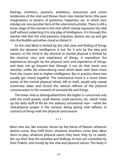feelings, emotions, passions, ambitions, possessive and active tendencies of the vital and throws them into mental forms (the pure imaginations or dreams of greatness, happiness, etc. in which men indulge are one peculiar form of the vital-mind activity). There is still a lower stage of the mental in the vital which merely expresses the vital stuff without subjecting it to any play of intelligence. It is through this mental vital that the vital passions, impulses, desires rise up and get into the Buddhi and either cloud or distort it.

As the vital Mind is limited by the vital view and feeling of things (while the dynamic Intelligence is not, for it acts by the idea and reason), so the mind in the physical or mental physical is limited by the physical view and experience of things, it mentalises the experiences brought by the physical view and experience of things, and does not go beyond that (though it can do that much very cleverly), unlike the externalising mind which deals with them more from the reason and its higher intelligence. But in practice these two usually get mixed together. The mechanical mind is a much lower action of the mental physical which, left to itself, would only repeat customary ideas and record the natural reflexes of the physical consciousness to the contacts of outward life and things.

The lower vital as distinguished from the higher is concerned only with the small greeds, small desires, small passions, etc. which make up the daily stuff of life for the ordinary sensational man – while the vital-physical proper is the nervous being giving vital reflexes to contacts of things with the physical consciousne

\* \* \*

Most men are, like animals, driven by the forces of Nature: whatever desires come, they fulfil them, whatever emotions come they allow them to play, whatever physical wants they have, they try to satisfy. We say then that the activities and feelings of men are controlled by their Prakriti, and mostly by the vital and physical nature. The body is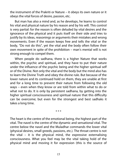the instrument of the Prakriti or Nature – it obeys its own nature or it obeys the vital forces of desire, passion, etc.

But man has also a mind and, as he develops, he learns to control his vital and physical nature by his reason and by his will. This control is very partial: for the reason is often deluded by vital desires and the ignorance of the physical and it puts itself on their side and tries to justify by its ideas, reasonings or arguments their mistakes and wrong movements. Even if the reason keeps free and tells the vital or the body, "Do not do this", yet the vital and the body often follow their own movement in spite of the prohibition – man's mental will is not strong enough to compel them.

When people do sadhana, there is a higher Nature that works within, the psychic and spiritual, and they have to put their nature under the influence of the psychic being and the higher spiritual self or of the Divine. Not only the vital and the body but the mind also has to learn the Divine Truth and obey the divine rule. But because of the lower nature and its continued hold on them, they are unable at first and for a long time to prevent their nature from following the old ways – even when they know or are told from within what to do or what not to do. It is only by persistent sadhana, by getting into the higher spiritual consciousness and spiritual nature that this difficulty can be overcome; but even for the strongest and best sadhaks it takes a long time.

\* \* \*

The heart is the centre of the emotional being, the highest part of the vital. The navel is the centre of the dynamic and sensational vital. The centre below the navel and the Muladhar commands the lower vital (physical desires, small greeds, passions, etc.). The throat centre is not the vital – it is the physical mind, the expressive externalising consciousness. What you feel may be the vital taking hold of the physical mind and moving it for expression (this is the source of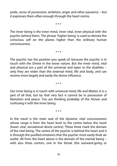pride, sense of possession, ambition, anger and other passions) – but it expresses them often enough through the heart centre.

\* \* \*

The inner being is the inner mind, inner vital, inner physical with the psychic behind them. The phrase 'higher being' is used to denote the conscious self on the planes higher than the ordinary human consciousness.

\* \* \*

The psychic has the position you speak of, because the psychic is in touch with the Divine in the lower nature. But the inner mind, vital and physical are a part of the universal and open to the dualities – only they are wider than the external mind, life and body, and can receive more largely and easily the divine influence.

\* \* \*

Our inner being is in touch with universal mind, life and Matter; it is a part of all that, but by that very fact it cannot be in possession of liberation and peace. You are thinking probably of the Atman and confusing it with the inner being.

\* \* \*

In the navel is the main seat of the dynamic vital consciousness whose range is from the heart level to the centre below the navel (lower vital, sensational desire centre). These three mark the domain of the vital being. The centre of the psychic is behind the heart and it is through the purified emotions that the psychic most easily finds an outlet. All from the heart above is the domain of the mental being – with also three centres, one in the throat (the outward-going or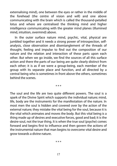externalising mind), one between the eyes or rather in the middle of the forehead (the centre of vision and will) and one above communicating with the brain which is called the thousand-petalled lotus and where are centralised the thinking mind and higher intelligence communicating with the greater mind planes (illumined mind, intuition, overmind) above.

In the outer surface nature mind, psychic, vital, physical are jumbled together and it needs a strong power of introspection, selfanalysis, close observation and disentanglement of the threads of thought, feeling and impulse to find out the composition of our nature and the relation and interaction of these parts upon each other. But when we go inside, we find the sources of all this surface action and there the parts of our being are quite clearly distinct from each other; it is as if we were a group-being, each member of the group with its separate place and function, and all directed by a central being who is sometimes in front above the others, sometimes behind the scenes.

\* \* \*

The soul and the life are two quite different powers. The soul is a spark of the Divine Spirit which supports the individual nature; mind, life, body are the instruments for the manifestation of the nature. In most men the soul is hidden and covered over by the action of the external nature; they mistake the vital being for the soul, because it is the vital which animates and moves the body. But this vital being is a thing made up of desires and executive forces, good and bad; it is the desire-soul, not the true thing. It is when the true soul (psyche) comes forward and begins first to influence and then govern the actions of the instrumental nature that man begins to overcome vital desire and grow towards a divine nature.

\* \* \*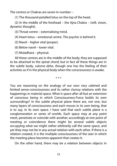The centres or Chakras are seven in number: –

(1) The thousand-petalled lotus on the top of the head.

(2) In the middle of the forehead – the Ajna Chakra – (will, vision, dynamic thought).

(3) Throat centre – externalising mind.

(4) Heart-lotus – emotional centre. The psychic is behind it.

(5) Navel – higher vital (proper).

(6) Below navel – lower vital.

(7) Muladhara – physical.

All these centres are in the middle of the body; they are supposed to be attached to the spinal chord; but in fact all these things are in the subtle body, *suksma deha*, though one has the feeling of their activities as if in the physical body when the consciousness is awake.

\* \* \*

You are reasoning on the analogy of our own very cabined and limited sense-consciousness and its rather clumsy relations with the happenings in material space. What is space after all but an extension of conscious being in which Consciousness-Force builds its own surroundings? In the subtle physical plane there are, not one, but many layers of consciousness and each moves in its own being, that is to say, in its own space. I have said that each subtle plane is a conglomeration or series of worlds. Each space may at any point meet, penetrate or coincide with another; accordingly at one point of meeting or coincidence there might be several subtle objects occupying what we might rather arbitrarily call the same space, and yet they may not be in any actual relation with each other. If there is a relation created, it is the multiple consciousness of the seer in which the meeting-place becomes apparent that creates it.

On the other hand, there may be a relation between objects in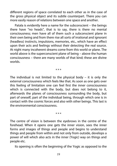different regions of space correlated to each other as in the case of the gross physical object and its subtle counterpart. There you can more easily reason of relations between one space and another.

Patala is evidently here a name for the subconscient – the beings there have "no heads", that is to say, there is there no mental consciousness; men have all of them such a subconscient plane in their own being and from there rise all sorts of irrational and ignorant (headless) instincts, impulsions, memories, etc., which have an effect upon their acts and feelings without their detecting the real source. At night many incoherent dreams come from this world or plane. The world above is the superconscient plane of being – above the human consciousness – there are many worlds of that kind; these are divine worlds.

\* \* \*

The individual is not limited to the physical body  $-$  it is only the external consciousness which feels like that. As soon as one gets over this feeling of limitation one can feel first the inner consciousness which is connected with the body, but does not belong to it, afterwards the planes of consciousness surrounding the body, but part of oneself, part of the individual being, through which one is in contact with the cosmic forces and also with other beings. This last is the environmental consciousness.

\* \* \*

The centre of vision is between the eyebrows in the centre of the forehead. When it opens one gets the inner vision, sees the inner forms and images of things and people and begins to understand things and people from within and not only from outside, develops a power of will which also acts in the inner (Yogic) way on things and people etc.

Its opening is often the beginning of the Yogic as opposed to the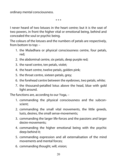ordinary mental consciousness.

\* \* \*

I never heard of two lotuses in the heart centre; but it is the seat of two powers, in front the higher vital or emotional being, behind and concealed the soul or psychic being.

The colours of the lotuses and the numbers of petals are respectively, from bottom to top: –

- 1. the Muladhara or physical consciousness centre, four petals, red;
- 2. the abdominal centre, six petals, deep purple red;
- 3. the navel centre, ten petals, violet;
- 4. the heart centre, twelve petals, golden pink;
- 5. the throat centre, sixteen petals, grey;
- 6. the forehead centre between the eyebrows, two petals, white;
- 7. the thousand-petalled lotus above the head, blue with gold light around.

The functions are, according to our Yoga, –

- 1. commanding the physical consciousness and the subconscient;
- 2. commanding the small vital movements, the little greeds, lusts, desires, the small sense-movements;
- 3. commanding the larger life-forces and the passions and larger desire-movements;
- 4. commanding the higher emotional being with the psychic deep behind it;
- 5. commanding expression and all externalisation of the mind movements and mental forces;
- 6. commanding thought, will, vision;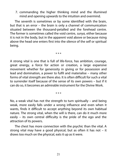7. commanding the higher thinking mind and the illumined mind and opening upwards to the intuition and overmind.

The seventh is sometimes or by some identified with the brain, but that is an error – the brain is only a channel of communication situated between the thousand-petalled and the forehead centre. The former is sometimes called the void centre, *sunya,* either because it is not in the body, but in the apparent void above or because rising above the head one enters first into the silence of the self or spiritual being.

\* \* \*

A strong vital is one that is full of life-force, has ambition, courage, great energy, a force for action or creation, a large expansive movement whether for generosity in giving or for possession and lead and domination, a power to fulfil and materialise – many other forms of vital strength are there also. It is often difficult for such a vital to surrender itself because of the sense of its own powers – but if it can do so, it becomes an admirable instrument for the Divine Work.

\* \* \*

No, a weak vital has not the strength to turn spiritually – and being weak, more easily falls under a wrong influence and even when it wants, finds it difficult to accept anything beyond its own habitual nature. The strong vital, when the will is there, can do it much more easily – its own central difficulty is the pride of the ego and the attraction of its powers.

The chest has more connection with the psychic than the vital. A strong vital may have a good physical, but as often it has not – it draws too much on the physical, eats it up as it were.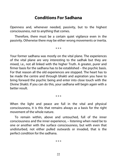#### <span id="page-26-0"></span>**Conditions For Sadhana**

Openness and, whenever needed, passivity, but to the highest consciousness, not to anything that comes.

Therefore, there must be a certain quiet vigilance even in the passivity. Otherwise there may be either wrong movements or inertia.

\* \* \*

Your former sadhana was mostly on the vital plane. The experiences of the vital plane are very interesting to the sadhak but they are mixed, i.e., not all linked with the higher Truth. A greater, purer and firmer basis for the sadhana has to be established – the psychic basis. For that reason all the old experiences are stopped. The heart has to be made the centre and through bhakti and aspiration you have to bring forward the psychic being and enter into close touch with the Divine Shakti. If you can do this, your sadhana will begin again with a better result.

\* \* \*

When the light and peace are full in the vital and physical consciousness, it is this that remains always as a basis for the right movement of the whole nature.

To remain within, above and untouched, full of the inner consciousness and the inner experience, – listening when need be to one or another with the surface consciousness, but with even that undisturbed, not either pulled outwards or invaded, that is the perfect condition for the sadhana.

\* \* \*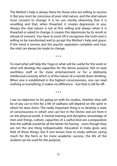The Mother's help is always there for those who are willing to receive it. But you must be conscious of your vital nature, and the vital nature must consent to change. It is no use merely observing that it is unwilling and that, when thwarted, it creates depression in you. Always the vital nature is not at first willing and always when it is thwarted or asked to change, it creates this depression by its revolt or refusal of consent. You have to insist till it recognises the truth and is willing to be transformed and to accept the Mother's help and grace. If the mind is sincere and the psychic aspiration complete and true, the vital can always be made to change.

\* \* \*

To read what will help the Yoga or what will be useful for the work or what will develop the capacities for the divine purpose. Not to read worthless stuff or for mere entertainment or for a dilettante intellectual curiosity which is of the nature of a mental dram-drinking. When one is established in the highest consciousness, one can read nothing or everything; it makes no difference – but that is still far off.

\* \* \*

I see no objection to his going on with his studies, whether they will be of any use to him for a life of sadhana will depend on the spirit in which he does them. The really important thing is to develop a state of consciousness in which one can live in the Divine and act from it on the physical world. A mental training and discipline, knowledge of men and things, culture, capacities of a useful kind are a preparation that the sadhak would be all the better for having – even though they are not the one thing indispensable. Education in India gives very little of these things, but if one knows how to study without caring much for the form or for mere academic success, the life of the student can be used for the purpose.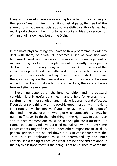Every artist almost (there are rare exceptions) has got something of the "public" man in him, in his vital-physical parts, the need of the stimulus of an audience, social applause, satisfied vanity or fame. That must go absolutely, if he wants to be a Yogi and his art a service not of man or of his own ego but of the Divine.

\* \* \*

In the most physical things you have to fix a programme in order to deal with them, otherwise all becomes a sea of confusion and haphazard. Fixed rules have also to be made for the management of material things so long as people are not sufficiently developed to deal with them in the right way without rules. But in matters of the inner development and the sadhana it is impossible to map out a plan fixed in every detail and say, "Every time you shall stop here, there, in this way, on that line and no other." Things would become so tied up and rigid that nothing could be done; there could be no true and effective movement.

Everything depends on the inner condition and the outward condition is only useful as a means and a help for expressing or confirming the inner condition and making it dynamic and effective. If you do or say a thing with the psychic uppermost or with the right inner touch, it will be effective; if you do or say the same thing out of the mind or the vital or with a wrong or mixed atmosphere, it may be quite ineffective. To do the right thing in the right way in each case and at each moment one must be in the right consciousness – it cannot be done by following a fixed mental rule which under some circumstances might fit in and under others might not fit at all. A general principle can be laid down if it is in consonance with the Truth, but its application must be determined by the inner consciousness seeing at each step what is to be done and not done. If the psychic is uppermost, if the being is entirely turned towards the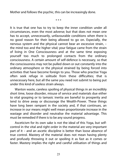Mother and follows the psychic, this can be increasingly done.

\* \* \*

It is true that one has to try to keep the inner condition under all circumstances, even the most adverse; but that does not mean one has to accept, unnecessarily, unfavourable conditions when there is no good reason for their being allowed to go on. Especially, the nervous system and the physical cannot bear an excessive strain, – the mind too and the higher vital; your fatigue came from the strain of living in One Consciousness and at the same time exposing yourself too much to prolonged contacts from the ordinary consciousness. A certain amount of self-defence is necessary, so that the consciousness may not be pulled down or out constantly into the ordinary atmosphere or the physical strained by being forced into activities that have become foreign to you. Those who practise Yoga often seek refuge in solitude from these difficulties; that is unnecessary here, but all the same you need not submit to being put under this kind of useless strain always.

Wanton waste, careless spoiling of physical things in an incredibly short time, loose disorder, misuse of service and materials due either to vital grasping or to tamasic inertia are baneful to prosperity and tend to drive away or discourage the Wealth-Power. These things have long been rampant in the society and, if that continues, an increase in our means might well mean proportionate increase in the wastage and disorder and neutralise the material advantage. This must be remedied if there is to be any sound progress.

Asceticism for its own sake is not the ideal of this Yoga, but selfcontrol in the vital and right order in the material are very important part of it – and an ascetic discipline is better than loose absence of true control. Mastery of the material does not mean having plenty and profusely throwing it out or spoiling it as fast as it comes or faster. Mastery implies the right and careful utilisation of things and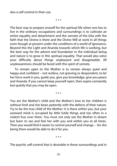also a self-control in their use.

\* \* \*

The best way to prepare oneself for the spiritual life when one has to live in the ordinary occupations and surroundings is to cultivate an entire equality and detachment and the *samata* of the Gita with the faith that the Divine is there and the Divine Will at work in all things even though at present under the conditions of a world of Ignorance. Beyond this the Light and Ananda towards which life is working, but the best way for the advent and foundation in the individual being and nature is to grow in this spiritual equality. That would also solve your difficulty about things unpleasant and disagreeable. All unpleasantness should be faced with this spirit of *samata.*

To remain open to the Mother is to remain always quiet and happy and confident – not restless, not grieving or despondent, to let her force work in you, guide you, give you knowledge, give you peace and Ananda. If you cannot keep yourself open, then aspire constantly but quietly that you may be open.

\* \* \*

You are the Mother's child and the Mother's love to her children is without limit and she bears patiently with the defects of their nature. Try to be the true child of the Mother: it is there within you, but your outward mind is occupied by little futile things and too often in a violent fuss over them. You must not only see the Mother in dream but learn to see and feel her with you and within you at all times. Then you would find it easier to control yourself and change, – for she being there would be able to do it for you.

\* \* \*

The psychic self-control that is desirable in these surroundings and in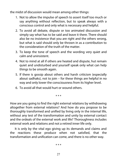the midst of discussion would mean among other things:

- 1. Not to allow the impulse of speech to assert itself too much or say anything without reflection, but to speak always with a conscious control and only what is necessary and helpful.
- 2. To avoid all debate, dispute or too animated discussion and simply say what has to be said and leave it there. There should also be no insistence that you are right and the others wrong, but what is said should only be thrown in as a contribution to the consideration of the truth of the matter.
- 3. To keep the tone of speech and the wording very quiet and calm and uninsistent.
- 4. Not to mind at all if others are heated and dispute, hut remain quiet and undisturbed and yourself speak only what can help things to be smooth again.
- 5. If there is gossip about others and harsh criticism (especially about sadhaks), not to join – for these things are helpful in no way and only lower the consciousness from its higher level.
- 6. To avoid all that would hurt or wound others.

\* \* \*

How are you going to find the right external relations by withdrawing altogether from external relations? And how do you propose to be thoroughly transformed and unified by living only in the internal life, without any test of the transformation and unity by external contact and the ordeals of the external work and life? Thoroughness includes external work and relations and not a retired inner life only.

It is only by the vital ego giving up its demands and claims and the reactions these produce when not satisfied, that the transformation and unification can come, and there is no other way.

\* \* \*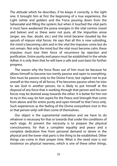The attitude which he describes, if he keeps it correctly, is the right one. It brought him at first the beginning of a true experience, the Light (white and golden) and the Force pouring down from the Sahasradal and filling the system; but when it touched the vital parts it must have awakened the prana energies in the vital centres (navel and below) and as these were not pure, all the impurities arose (anger, sex, fear, doubt, etc.) and the mind became clouded by the uprush of impure vital forces. He says that all this is now subsiding, the mind is becoming calm and in the vital the impulses come but do not remain. Not only the mind but the vital must become calm; these impulses must lose their force of recurrence by rejection and purification. Entire purity and peace must be established in the whole Adhar; it is only then that he will have a safe and sure basis for further progress.

The reason why the force flows out of him must be because he allows himself to become too inertly passive and open to everything. One must be passive only to the Divine Force, but vigilant not to put oneself at the mercy of all forces. If he becomes passive when he tries to see God in another person, he is likely to put himself at the disposal of any force that is working through that person and his own forces may be drained away towards the other. It is better for him not to try in this way; let him aspire for the Peace and Strength that come from above and for entire purity and open himself to that Force only. Such experiences as the feeling of the Divine everywhere (not in this or that person only) will then come of themselves.

Our object is the supramental realisation and we have to do whatever is necessary for that or towards that under the conditions of each stage. At present the necessity is to prepare the physical consciousness; for that a complete equality and peace and a complete dedication free from personal demand or desire in the physical and the lower vital parts is the thing to be established. Other things can come in their proper time. What is the need now is not insistence on physical nearness, which is one of these other things,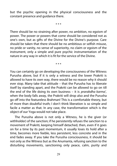but the psychic opening in the physical consciousness and the constant presence and guidance there.

\* \* \*

There should be no straining after power, no ambition, no egoism of power. The power or powers that come should be considered not as one's own, but as gifts of the Divine for the Divine's purpose. Care should be taken that there should be no ambitious or selfish misuse, no pride or vanity, no sense of superiority, no claim or egoism of the instrument, only a simple and pure psychic instrumentation of the nature in any way in which it is fit for the service of the Divine.

\* \* \*

You can certainly go on developing the consciousness of the Witness Purusha above, but if it is only a witness and the lower Prakriti is allowed to have its own way, there would be no reason why it should ever stop. Many take that attitude – that the Purusha has to liberate itself by standing apart, and the Prakriti can be allowed to go on till the end of the life doing its own business – it is *prarabdha karma',* when the body falls away, the Prakriti will drop also and the Purusha go off into the featureless Brahman! This is a comfortable theory, but of more than doubtful truth; I don't think liberation is so simple and facile a matter as that. In any case, the transformation which is the object of our Yoga would not take place.

The Purusha above is not only a Witness, he is the giver (or withholder) of the sanction; if he persistently refuses the sanction to a movement of Prakriti, keeping himself detached, then, even if it goes on for a time by its past momentum, it usually loses its hold after a time, becomes more feeble, less persistent, less concrete and in the end fades away. If you take the Purusha consciousness, it should be not only as the Witness but as the Anumanta, refusing sanction to the disturbing movements, sanctioning only peace, calm, purity and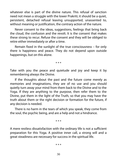whatever else is part of the divine nature. This refusal of sanction need not mean a struggle with the lower Prakriti; it should be a quiet, persistent, detached refusal leaving unsupported, unassented to, without meaning or justification, the contrary action of the nature.

Never consent to the ideas, suggestions, feelings that bring back the cloud, the confusion and the revolt. It is the consent that makes these strong to recur. Refuse the consent and they will be obliged to retire either immediately or after a time.

Remain fixed in the sunlight of the true consciousness – for only there is happiness and peace. They do not depend upon outside happenings, but on this alone.

\* \* \*

Take with you the peace and quietude and joy and keep it by remembering always the Divine.

If the thoughts about the past and the future come merely as memories and imaginations, they are of no use and you should quietly turn away your mind from them back to the Divine and to the Yoga. If they are anything to the purpose, then refer them to the Divine, put them in the light of the Truth, so that you may have the truth about them or the right decision or formation for the future, if any decision is needed.

There is no harm in the tears of which you speak, they come from the soul, the psychic being, and are a help and not a hindrance.

\* \* \*

A mere restless dissatisfaction with the ordinary life is not a sufficient preparation for this Yoga. A positive inner call, a strong will and a great steadiness are necessary for success in the spiritual life.

\* \* \*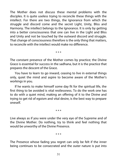The Mother does not discuss these mental problems with the disciples. It is quite useless trying to reconcile these things with the intellect. For there are two things, the Ignorance from which the struggle and discord come and the secret Light, Unity, Bliss and Harmony. The intellect belongs to the Ignorance. It is only by getting into a better consciousness that one can live in the Light and Bliss and Unity and not be touched by the outward discord and struggle. That change of consciousness therefore is the only thing that matters, to reconcile with the intellect would make no difference.

\* \* \*

The constant presence of the Mother comes by practice; the Divine Grace is essential for success in the sadhana, but it is the practice that prepares the descent of the Grace.

You have to learn to go inward, ceasing to live in external things only, quiet the mind and aspire to become aware of the Mother's workings in you.

If he wants to make himself some day fit for the spiritual life, the first thing to be avoided is vital restlessness. To do the work one has to do with a quiet mind, making an offering of it to the Divine and trying to get rid of egoism and vital desire, is the best way to prepare oneself.

\* \* \*

Live always as if you were under the very eye of the Supreme and of the Divine Mother. Do nothing, try to think and feel nothing that would be unworthy of the Divine Presence.

\* \* \*

The Presence whose fading you regret can only be felt if the inner being continues to be consecrated and the outer nature is put into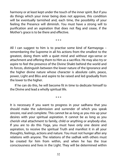harmony or at least kept under the touch of the inner spirit. But if you do things which your inner being does not approve, this condition will be eventually tarnished and, each time, the possibility of your feeling the Presence will diminish. You must have a strong will to purification and an aspiration that does not flag and cease, if the Mother's grace is to be there and effective.

\* \* \*

All I can suggest to him is to practise some kind of Karmayoga – remembering the Supreme in all his actions from the smallest to the greatest, doing them with a quiet mind and without ego-sense or attachment and offering them to Him as a sacrifice. He may also try or aspire to feel the presence of the Divine Shakti behind the world and its forces, distinguish between the lower nature of the Ignorance and the higher divine nature whose character is absolute calm, peace, power, Light and Bliss and aspire to be raised and led gradually from the lower to the higher.

If he can do this, he will become fit in time to dedicate himself to the Divine and lead a wholly spiritual life.

\* \* \*

It is necessary if you want to progress in your sadhana that you should make the submission and surrender of which you speak sincere, real and complete. This cannot be as long as you mix up your desires with your spiritual aspiration. It cannot be as long as you cherish vital attachment to family, child or anything or anybody else. If you are to do this Yoga, you must have only one desire and aspiration, to receive the spiritual Truth and manifest it in all your thoughts, feelings, actions and nature. You must not hunger after any relations with anyone. The relations of the sadhak with others must be created for him from within, and when he has the true consciousness and lives in the Light. They will be determined within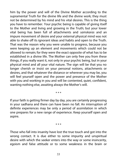him by the power and will of the Divine Mother according to the supramental Truth for the divine life and the divine work; they must not be determined by his mind and his vital desires. This is the thing you have to remember. Your psychic being is capable of giving itself to the Mother and living and growing in the Truth; but your lower vital being has been full of attachments and *samskaras* and an impure movement of desire and your external physical mind was not able to shake off its ignorant ideas and habits and open to the Truth. That was the reason why you were unable to progress, because you were keeping up an element and movements which could not be allowed to remain; for they were the exact opposite of what has to be established in a divine life. The Mother can only free you from these things, if you really want it, not only in your psychic being, but in your physical mind and all your vital nature. The sign will be that you no longer cherish or insist on your personal notions, attachments or desires, and that whatever the distance or wherever you may be, you will feel yourself open and the power and presence of the Mother with you and working in you and will be contented, quiet, confident, wanting nothing else, awaiting always the Mother's will.

\* \* \*

If your faith is getting firmer day by day, you are certainly progressing in your sadhana and there can have been no fall. An interruption of definite experiences may be only a period of assimilation in which one prepares for a new range of experience. Keep yourself open and aspire.

\* \* \*

Those who fall into insanity have lost the true touch and got into the wrong contact. It is due either to some impurity and unspiritual desire with which the seeker enters into the way or some insincerity, egoism and false attitude or to some weakness in the brain or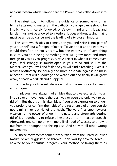nervous system which cannot bear the Power it has called down into it.

The safest way is to follow the guidance of someone who has himself attained to mastery in the path. Only that guidance should be implicitly and sincerely followed; one's own mind and its ideas and fancies must not be allowed to interfere. It goes without saying that it must be a true guidance, not the leading of a tyro or an imposter.

This state which tries to come upon you and seize is not part of your true self, but a foreign influence. To yield to it and to express it would therefore be not sincerity, but the expression of something false to your true being, something that will grow more and more foreign to you as you progress. Always reject it, when it comes, even if you feel strongly its touch; open in your mind and soul to the Mother, keep your will and faith and you will find it receding. Even if it returns obstinately, be equally and more obstinate against it, firm in rejection – that will discourage and wear it out and finally it will grow weak, a shadow of itself and disappear.

Be true to your true self always – that is the real sincerity. Persist and conquer.

I think you have always had an idea that to give expression to an impulse or a movement is the best way or even the only way to get rid of it. But that is a mistaken idea. If you give expression to anger, you prolong or confirm the habit of the recurrence of anger; you do not diminish or get rid of the habit. The very first step towards weakening the power of anger in the nature and afterwards getting rid of it altogether is to refuse all expression to it in act or speech. Afterwards one can go on with more likelihood of success to throw it out from the thought and feeling also. And so with all other wrong movements.

All these movements come from outside, from the universal lower Nature or are suggested or thrown upon you by adverse forces – adverse to your spiritual progress. Your method of taking them as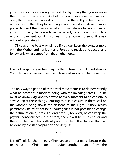your own is again a wrong method; for by doing that you increase their power to recur and take hold of you. If you take them as your own, that gives them a kind of right to be there. If you feel them as *not* your own, then they have no right, and the will can develop more power to send them away. What you must always have and feel as yours is this will, the power to refuse assent, to refuse admission to a wrong movement. Or if it comes in, the power to send it away, without expressing it.

Of course the best way will be if you can keep the contact more with the Mother and her Light and Force and receive and accept and follow only what comes from that higher force.

\* \* \*

It is not Yoga to give free play to the natural instincts and desires. Yoga demands mastery over the nature, not subjection to the nature.

\* \* \*

The only way to get rid of these vital movements is to do persistently what he describes himself as doing with the invading forces – i.e. he must be always vigilant, try always at every moment to be conscious, always reject these things, refusing to take pleasure in them, call on the Mother, bring down the descent of the Light. If they return persistently he must not be discouraged; it is not possible to change the nature at once, it takes a long time. If, however, he can keep the psychic consciousness in the front, then it will be much easier and there will be much less difficulty and trouble in the change. That can be done by constant aspiration and *abhyasa.*

\* \* \*

It is difficult for the ordinary Christian to be of a piece, because the teachings of Christ are on quite another plane from the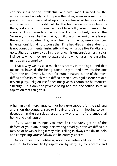consciousness of the intellectual and vital man t rained by the education and society of Europe – the latter, even as a minister or priest, has never been called upon to practise what he preached in entire earnest. But it is difficult for the human nature anywhere to think, feel and act from one centre of true faith, belief or vision. The average Hindu considers the spiritual life the highest, reveres the Sannyasi, is moved by the Bhakta; but if one of the family circle leaves the world for spiritual life, what tears, arguments, remonstrances, lamentations! It is almost worse than if he had died a natural death. It is not conscious mental insincerity – they will argue like Pandits and go to Shastra to prove you in the wrong; it is unconsciousness, a vital insincerity which they are not aware of and which uses the reasoning mind as an accomplice.

That is why we insist so much on sincerity in the Yoga – and that means to have all the being consciously turned towards the one Truth, the one Divine. But that for human nature is one of the most difficult of tasks, much more difficult than a less rigid asceticism or a fervent piety. Religion itself does not give this complete harmonised sincerity – it is only the psychic being and the one-souled spiritual aspiration that can give it.

\* \* \*

A human vital interchange cannot be a true support for the sadhana and is, on the contrary, sure to impair and distort it, leading to selfdeception in the consciousness and a wrong turn of the emotional being and vital nature.

If you want to change, you must first resolutely get rid of the defects of your vital being, persevering steadily, however difficult it may be or however long it may take, calling in always the divine help and compelling yourself always to be entirely sincere.

As for fitness and unfitness, nobody is entirely fit for this Yoga; one has to become fit by aspiration, by *abhyasa,* by sincerity and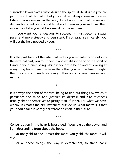surrender. If you have always desired the spiritual life, it is the psychic part of you that desired it, but your vital has always come in the way. Establish a sincere will in the vital; do not allow personal desires and demands and selfishness and falsehood to mix in your sadhana; then alone the vital in you will become fit for the sadhana.

If you want your endeavour to succeed, it must become always purer and more steady and persistent. If you practise sincerely, you will get the help needed by you.

\* \* \*

It is the past habit of the vital that makes you repeatedly go out into the external part; you must persist and establish the opposite habit of living in your inner being which is your true being and of looking at everything from there. It is from there that you get the true thought, the true vision and understanding of things and of your own self and nature.

\* \* \*

It is always the habit of the vital being to find out things by which it persuades the mind and justifies its desires; and circumstances usually shape themselves to justify it still further. For what we have within us creates the circumstances outside us. What matters is that you should take inwardly a different position in the future.

\* \* \*

Concentration in the heart is best aided if possible by the power and light descending from above the head.

Do not yield to the Tamas; the more you yield, th° more it will stick.

For all these things, the way is detachment, to stand back;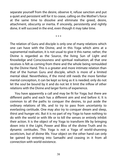separate yourself from the desire, observe it, refuse sanction and put a quiet and persistent will for it to cease, calling on the Mother's force at the same time to dissolve and eliminate the greed, desire, attachment, obscurity or inertia. If sincerely, persistently and rightly done, it will succeed in the end, even though it may take time.

\* \* \*

The relation of Guru and disciple is only one of many relations which one can have with the Divine, and in this Yoga which aims at a supramental realisation, it is not usual to give it this name; rather, the Divine is regarded as the Source, the living Sun of Light and Knowledge and Consciousness and spiritual realisation; all that one receives is felt as coming from there and the whole being remoulded by the Divine Hand. This is a greater and more intimate relation than that of the human Guru and disciple, which is more of a limited mental ideal. Nevertheless, if the mind still needs the more familiar mental conception, it can be kept so long as it is needed; only do not let the soul be bound by it and do not let it limit the inflow of other relations with the Divine and larger forms of experience.

You have apparently a call and may be fit for Yoga; but there are different paths and each has a different aim and end before it. It is common to all the paths to conquer the desires, to put aside the ordinary relations of life, and to try to pass from uncertainty to everlasting certitude. One may also try to conquer dream and sleep, thirst and hunger etc. But it is no part of my Yoga to have nothing to do with the world or with life or to kill the senses or entirely inhibit their action. It is the object of my Yoga to transform life by bringing down into it the Light, Power and Bliss of the divine Truth and its dynamic certitudes. This Yoga is not a Yoga of world-shunning asceticism, but of divine life. Your object on the other hand can only be gained by entering into Samadhi and ceasing in it from all connection with world-existence.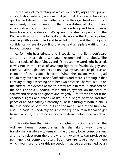In the way of meditating of which we spoke, aspiration, prayer, concentration, intensity are a natural part of it. Those who take it go quicker and develop their sadhana, once they get fixed in it, much more easily as well as smoothly than by a distressed, doubtful and anxious straining with revulsions of despondency and turning away from hope and endeavour. We spoke of a steady opening to the Divine with a flow of the force doing its work in the Adhar, a poised opening with a quiet mind and heart full of trust and the sunlight of confidence; where do you find that we said a helpless waiting must be your programme?

As for light-heartedness and insouciance – a light don't-care attitude is the last thing we would recommend to anybody. The Mother spoke of cheerfulness, and if she used the word light-hearted, it was not in the sense of anything lightly or frivolously gay and careless – although a deeper and finer gaiety can have its place as an element of the Yogic character. What she meant was a glad equanimity even in the face of difficulties and there is nothing in that contrary to Yogic teaching or to her own practice. The vital nature on the surface (the depths of the true vital are different) is attached on the one side to a superficial mirth and enjoyment, on the other to sorrow and despair and gloom and tragedy, – for these are for it the cherished lights and shades of life; but a bright or wide and free peace or an *anandamaya* intensity or, best, a fusing of both in one is the true poise of both the soul and the mind – and of the true vital also – in Yoga. It is perfectly possible for a quite human sadhak to get to such a poise, it is not necessary to be divine before one can attain it.

It is quite true that rising into a higher consciousness than the ordinary human consciousness is the right way towards transformation. Merely to remain in the ordinary lower consciousness and try to reject from there the wrong movements can produce no permanent or complete result. But there are several points here which you must note or this perception may be accompanied by an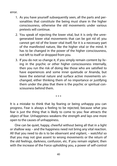error.

- 1. As you have yourself subsequently seen, all the parts and personalities that constitute the being must share in the higher consciousness, otherwise the old movements under various pretexts will continue.
- 2. You speak of rejecting the lower vital, but it is only the unregenerated lower vital movements that can be got rid of; you cannot get rid of the lower vital itself, for it is a necessary part of the manifested nature, like the higher vital or the mind. It has to be changed in the power of the higher consciousness, not left to itself or dropped from you.
- 3. If you do not so change it, if you simply remain content by living in the psychic or other higher consciousness internally, then you run the risk of doing like those who are satisfied to have experiences and some inner quietude or Ananda, but leave the external nature and surface active movements unchanged, either thinking them of no importance or justifying them under the plea that there is the psychic or spiritual consciousness behind them.

\* \* \*

It is a mistake to think that by fearing or being unhappy you can progress. Fear is always a feeling to be rejected, because what you fear is just the thing that is likely to come to you: fear attracts the object of fear. Unhappiness weakens the strength and lays one more open to the causes of unhappiness.

One can be quiet, happy, cheerful without being all that in a light or shallow way – and the happiness need not bring any vital reaction. All that you need to do is to be observant and vigilant, – watchful so that you may not give assent to wrong movements or the return of the old feelings, darkness, confusion, etc. If you remain vigilant, then with the increase of the Force upholding you, a power of self-control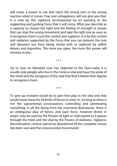will come, a power to see and reject the wrong turn or the wrong reaction when it comes. Fear and unhappiness will not give you that. It is only by this vigilance accompanied by an opening to the supporting and guiding Force that it will come. What you describe as a capacity to choose the right and the feeling of strength or power that can stop the wrong movement and take the right one as soon as it recognises them is just this control and vigilance. It is by this control and vigilance supported by the Force that you can prevent the love and devotion too from being mixed with or replaced by selfish desires and impurities. The more you open, the more this power will increase in you.

\* \* \*

Up to now no liberated man has objected to the Guru-vada; it is usually only people who live in the mind or vital and have the pride of the mind and the arrogance of the vital that find it below their dignity to recognise a Guru.

\* \* \*

To give up restraint would be to give free play to the vital and that would mean leave for all kinds of forces to enter in. So long as there is not the supramental consciousness controlling and penetrating everything, in all the being from the overmind downwards, there is an ambiguous play of forces, and each force, however divine in origin, may be used by the Powers of light or intercepted as it passes through the mind and the vital by the Powers of darkness. Vigilance, discrimination, control cannot be abandoned till the complete victory has been won and the consciousness transmuted.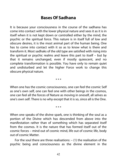## **Bases Of Sadhana**

It is because your consciousness in the course of the sadhana has come into contact with the lower physical nature and sees it as it is in itself when it is not kept down or controlled either by the mind, the psychic or the spiritual force. This nature is in itself full of low and obscure desires, it is the most animal part of the human being. One has to come into contact with it so as to know what is there and transform it. Most sadhaks of the old type are satisfied with rising into the spiritual or psychic realms and leave this part to itself – but by that it remains unchanged, even if mostly quiescent, and no complete transformation is possible. You have only to remain quiet and undisturbed and let the higher Force work to change this obscure physical nature.

\* \* \*

When one has the cosmic consciousness, one can feel the cosmic Self as one's own self, one can feel one with other beings in the cosmos, one can feel all the forces of Nature as moving in oneself, all selves as one's own self. There is no why except that it is so, since all is the One.

\* \* \*

When one speaks of the divine spark, one is thinking of the soul as a portion of the Divine which has descended from above into the manifestation rather than of something which has separated itself from the cosmos. It is the nature that has formed itself out of the cosmic forces – mind out of cosmic mind, life out of cosmic life, body out of cosmic Matter.

For the soul there are three realisations:  $-$  (1) the realisation of the psychic being and consciousness as the divine element in the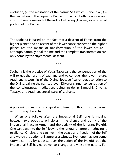evolution; (2) the realisation of the cosmic Self which is one in all; (3) the realisation of the Supreme Divine from which both individual and cosmos have come and of the individual being (Jivatma) as an eternal portion of the Divine.

\* \* \*

The sadhana is based on the fact that a descent of Forces from the higher planes and an ascent of the lower consciousness to the higher planes are the means of transformation of the lower nature – although naturally it takes time and the complete transformation can only come by the supramental descent.

\* \* \*

Sadhana is the practice of Yoga. Tapasya is the concentration of the will to get the results of sadhana and to conquer the lower nature. Aradhana is worship of the Divine, love, self-surrender, aspiration to the Divine, calling the name, prayer. Dhyana is inner concentration of the consciousness, meditation, going inside in Samadhi. Dhyana, Tapasya and Aradhana are all parts of sadhana.

\* \* \*

A pure mind means a mind quiet and free from thoughts of a useless or disturbing character.

When one follows after the impersonal Self, one is moving between two opposite principles – the silence and purity of the impersonal inactive Atman and the activity of the ignorant Prakriti. One can pass into the Self, leaving the ignorant nature or reducing it to silence. Or else, one can live in the peace and freedom of the Self and watch the action of Nature as a witness. Even one may put some sattwic control, by tapasya, over the action of the Prakriti; but the impersonal Self has no power to change or divinise the nature. For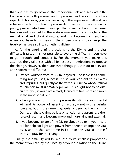that one has to go beyond the impersonal Self and seek after the Divine who is both personal and impersonal and beyond these two aspects. If, however, you practise living in the impersonal Self and can achieve a certain spiritual impersonality, then you grow in equality, purity, peace, detachment, you get the power of living in an inner freedom not touched by the surface movement or struggle of the mental, vital and physical nature, and this becomes a great help when you have to go beyond the impersonal and to change the troubled nature also into something divine.

As for the offering of the actions to the Divine and the vital difficulty it raises, it is not possible to avoid the difficulty – you have to go through and conquer it. For the moment you make this attempt, the vital arises with all its restless imperfections to oppose the change. However, there are three things you can do to alleviate and shorten the difficulty:

- 1. Detach yourself from this vital-physical observe it as something not yourself; reject it, refuse your consent to its claims and impulses, but quietly as the witness Purusha whose refusal of sanction must ultimately prevail. This ought not to be difficult for you, if you have already learned to live more and more in the impersonal Self.
- 2. When you are not in this impersonality, still use your mental will and its power of assent or refusal, – not with a painful struggle, but in the same way, quietly, denying the claims of Desire, till these claims by loss of sanction and assent lose their force of return and become more and more faint and external.
- 3. If you become aware of the Divine above you or in your heart, call for help, for light and power from there to change the vital itself, and at the same time insist upon this vital till it itself learns to pray for the change.

Finally, the difficulty will be reduced to its smallest proportions the moment you can by the sincerity of your aspiration to the Divine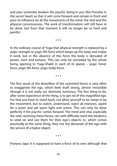and your surrender awaken the psychic being in you (the Purusha in the secret heart) so that it will come forward and remain in front and pour its influence on all the movements of the mind, the vital and the physical consciousness. The work of transformation will still have to be done, but from that moment it will no longer be so hard and painful.

\* \* \*

In the ordinary course of Yoga that physical strength is replaced by a yogic strength or yogic life-force which keeps up the body and makes it work, but in the absence of this force the body is denuded of power, inert and tamasic. This can only be remedied by the whole being opening to Yoga-Shakti in each of its planes – yogic mindforce, yogic life-force, yogic body-force.

\* \* \*

The first result of the downflow of the overmind forces is very often to exaggerate the ego, which feels itself strong, almost irresistible (though it is not really so), divinised, luminous. The first thing to do, after some experience of the thing, is to get rid of this magnified ego. For that you have to stand back, not allow yourself to be swept in by the movement, but to watch, understand, reject all mixtures, aspire for a purer and yet purer light and action. This can only be done perfectly if the psychic comes forward. The mind and vital, especially the vital, receiving these forces, can with difficulty resist the tendency to seize on and use them for their ego's objects or, which comes practically to the same thing, they mix the demands of the ego with the service of a higher object.

\* \* \*

Pranava Japa: It is supposed to have a force of its own although that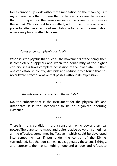force cannot fully work without the meditation on the meaning. But my experience is that in these things there is no invariable rule and that must depend on the consciousness or the power of response in the sadhak. With some it has no effect, with some it has a rapid and powerful effect even without meditation – for others the meditation is necessary for any effect to come.

\* \* \*

#### *How is anger completely got rid of?*

When it is the psychic that rules all the movements of the being, then it completely disappears and when the equanimity of the higher consciousness takes complete possession of the lower vital. Till then one can establish control, diminish and reduce it to a touch that has no outward effect or a wave that passes without life-expression.

\* \* \*

*Is the subconscient carried into the next life?*

No, the subconscient is the instrument for the physical life and disappears. It is too incoherent to be an organized enduring existence.

\* \* \*

There is in this condition more a sense of having power than real power. There are some mixed and quite relative powers – sometimes a little effective, sometimes ineffective – which could be developed into something real if put under the control of the Divine, surrendered. But the ego comes in, exaggerates these small things, and represents them as something huge and unique, and refuses to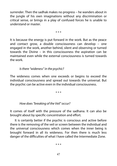surrender. Then the sadhak makes no progress – he wanders about in the jungle of his own imaginations without any discrimination or critical sense, or brings in a play of confused forces he is unable to understand or master.

\* \* \*

It is because the energy is put forward in the work. But as the peace and contact grow, a double consciousness can develop – one engaged in the work, another behind, silent and observing or turned towards the Divine – in this consciousness the aspiration can be maintained even while the external consciousness is turned towards the work.

*Is there "wideness" in the psychic?*

The wideness comes when one exceeds or begins to exceed the individual consciousness and spread out towards the universal. But the psychic can be active even in the individual consciousness.

\* \* \*

*How does "breaking of the Veil" occur?*

It comes of itself with the pressure of the sadhana. It can also be brought about by specific concentration and effort.

It is certainly better if the psychic is conscious and active before there is the removing of the veil or screen between the individual and the universal consciousness which comes when the inner being is brought forward in all its wideness. For then there is much less danger of the difficulties of what I have called the Intermediate Zone.

\* \* \*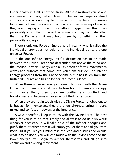Impersonality in itself is not the Divine. All these mistakes can be and are made by many who claim to be in an impersonalised consciousness. A force may be universal but may be also a wrong force: many think they are impersonal and free from ego because they are obeying a force or something bigger than their own personality – but that force or that something may be quite other than the Divine and it may hold them by something in their personality and ego.

There is only one Force or Energy here in reality; what is called the individual energy does not belong to the individual, but to the one universal Power.

In the one infinite Energy itself a distinction has to be made between the Divine Force that descends from above the mind and the inferior universal Energy with all its different forms, movements, waves and currents that come into you from outside. The inferior Energy proceeds from the Divine Shakti, but it has fallen from the truth of its source and has no longer its direct guidance.

When these universal energies come into touch with the Divine Force, rise to meet it and allow it to take hold of them and occupy and change them, then they are purified and uplifted and transformed and become a movement of the Divine Force.

When they are not in touch with the Divine Force, not obedient to it, but act for themselves, they are unenlightened, erring, impure, mixed and confused – powers of the Ignorance.

Always, therefore, keep in touch with the Divine Force. The best thing for you is to do that simply and allow it to do its own work; wherever necessary, it will take hold of the inferior energies and purify them; at other times it will empty you of them and fill you with itself. But if you let your mind take the lead and discuss and decide what is to be done, you will lose touch with the Divine Force and the lower energies will begin to act for themselves and all go into confusion and a wrong movement.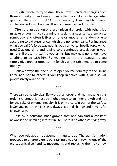It is still worse to try to draw these lower universal energies from those around you and keep up with them a vital interchange; what gain can there be in that? On the contrary, it will lead to greater confusion and even bring in all kinds of mischief and trouble.

Often the association of these universal energies with others is a mistake of your mind. Your mind is seeking always to fix them on to somebody, and often it fixes on one or another at random or else according to old experiences which are no longer valid. For instance, what you call X's force was not his, but a universal hostile force which used X at one time and, owing to a continued association in your mind, still presents itself to you as his, but may now no longer have anything to do with him. By keeping up the old association, you simply give greater opportunity for this undesirable energy to come upon you.

Follow always the one rule, to open yourself directly to the Divine Force and not to others; if you keep in touch with it, all else will progressively arrange itself.

\* \* \*

There can be no physical life without an order and rhythm. When this order is changed, it must be in obedience to an inner growth and not for the sake of external novelty. It is only a certain part of the surface lower vital nature which seeks always external change and novelty for its own sake.

It is by a constant inner growth that one can find a constant newness and unfailing interest in life. There is no other satisfying way.

\* \* \*

What you felt about replacement is quite true. The transformation proceeds to a large extent by a taking away or throwing out of the old superficial self and its movements and replacing them by a new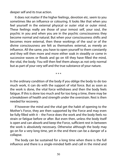deeper self and its true action.

It does not matter if the higher feelings, devotion etc. seem to you sometimes like an influence or colouring. It looks like that when you feel yourself in the external physical or outer vital or outer mind. These feelings really are those of your inmost self, your soul, the psychic in you and when you are in the psychic consciousness they become normal and natural. But when your consciousness shifts and becomes more external, then these workings of the soul or of the divine consciousness are felt as themselves external, as merely an influence. All the same, you have to open yourself to them constantly and they will then more and more either soak in steadily or come in successive waves or floods and go on till they have filled the mind, the vital, the body. You will then feel them always as not only normal but as part of your very self and the true substance of your nature.

\* \* \*

In the ordinary condition of the body if you oblige the body to do too much work, it can do with the support of vital force. But as soon as the work is done, the vital force withdraws and then the body feels fatigue. If this is done too much and for too long a time, there may be a breakdown of health and strength under the overstrain. Rest is then needed for recovery.

If however the mind and the vital get the habit of opening to the Mother's Force, they are then supported by the Force and may even be fully filled with it – the Force does the work and the body feels no strain or fatigue before or after. But even then, unless the body itself is open and can absorb and keep the Force, sufficient rest in between the work is absolutely necessary. Otherwise although the body may go on for a very long time, yet in the end there can be a danger of a collapse.

The body can be sustained for a long time when there is the full influence and there is a single-minded faith and call in the mind and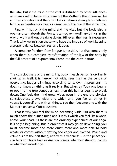the vital; but if the mind or the vital is disturbed by other influences or opens itself to forces which are not the Mother's, then there will be a mixed condition and there will be sometimes strength, sometimes fatigue, exhaustion or illness or a mixture of the two at the same time.

Finally, if not only the mind and the vital, but the body also is open and can absorb the Force, it can do extraordinary things in the way of work without breaking down. Still even then rest is necessary. That is why we insist on those who have the impulse of work keeping a proper balance between rest and labour.

A complete freedom from fatigue is possible, but that comes only when there is a complete transformation of the law of the body by the full descent of a supramental Force into the earth-nature.

\* \* \*

The consciousness of the mind, life, body in each person is ordinarily shut up in itself; it is narrow, not wide, sees itself as the centre of everything, judges all things according to its own impressions – it does not know anything as it really is. But when by Yoga one begins to open to the true consciousness, then this barrier begins to break down. One feels the mind grow wider, even in the end the physical consciousness grows wider and wider, until you feel all things in yourself, yourself one with all things. You then become one with the Mother's universal Consciousness.

That is why you feel the mind becoming wide. But also there is much above the human mind and it is this which you feel like a world above your head. All these are the ordinary experiences of our Yoga. It is only a beginning. But in order that it may go on developing, you must become more and more quiet, more and more able to hold whatever comes without getting too eager and excited. Peace and calmness are the first thing, and with it wideness – in the peace you can bear whatever love or Ananda comes, whatever strength comes or whatever knowledge.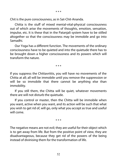\* \* \*

Chit is the pure consciousness, as in Sat-Chit-Ananda.

Chitta is the stuff of mixed mental-vital-physical consciousness out of which arise the movements of thoughts, emotion, sensation, impulse, etc. It is these that in the Patanjali system have to be stilled altogether so that the consciousness may be immobile and go into Samadhi.

Our Yoga has a different function. The movements of the ordinary consciousness have to be quieted and into the quietude there has to be brought down a higher consciousness and its powers which will transform the nature.

\* \* \*

If you suppress the Chittavrittis, you will have no movements of the Chitta at all; all will be immobile until you remove the suppression or will be so immobile that there cannot be anything else than immobility.

If you still them, the Chitta will be quiet, whatever movements there are will not disturb the quietude.

If you control or master, then the Chitta will be immobile when you want, active when you want, and its action will be such that what you wish to get rid of, will go, only what you accept as true and useful will come.

\* \* \*

The negative means are not evil; they are useful for their object which is to get away from life. But from the positive point of view, they are disadvantageous, because they get rid of the powers of the being instead of divinising them for the transformation of life.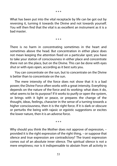What has been put into the vital receptacle by life can be got out by reversing it, turning it towards the Divine and not towards yourself. You will then find that the vital is as excellent an instrument as it is a bad master.

\* \* \*

There is no harm in concentrating sometimes in the heart and sometimes above the head. But concentration in either place does not mean keeping the attention fixed on a particular spot; you have to take your station of consciousness in either place and concentrate there not on the place, but on the Divine. This can be done with eyes shut or with eyes open, according as it best suits you.

You can concentrate on the sun, but to concentrate on the Divine is better than to concentrate on the sun.

The mere intensity of the force does not show that it is a bad power; the Divine Force often works with a great intensity. Everything depends on the nature of the force and its working: what does it do, what seems to be its purpose? If it works to purify or open the system, or brings with it light or peace, or prepares the change of the thought, ideas, feelings, character in the sense of a turning towards a higher consciousness, then it is the right force. If it is dark or obscure or perturbs the being with rajasic or egoistic suggestions or excites the lower nature, then it is an adverse force.

\* \* \*

Why should you think the Mother does not approve of expression, provided it is the right expression of the right thing, – or suppose that silence and true expression are contradictory? The truest expression comes out of an absolute inner silence. The spiritual silence is not a mere emptiness; nor is it indispensable to abstain from all activity in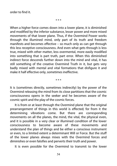order to find it.

\* \* \*

When a higher force comes down into a lower plane, it is diminished and modified by the inferior substance, lesser power and more mixed movements of that lower plane. Thus, if the Overmind Power works through the illumined mind, only part of its truth and freedom manifests and becomes effective – so much only as can get through this less receptive consciousness. And even what gets through is less true, mixed with other matter, less overmental, more easily modified into something that is part truth, part error. When this diminished indirect force descends further down into the mind and vital, it has still something of the creative Overmind Truth in it, but gets very badly mixed with mental and vital formations that disfigure it and make it half effective only, sometimes ineffective.

\* \* \*

It is (sometimes directly, sometimes indirectly) by the power of the Overmind releasing the mind from its close partitions that the cosmic consciousness opens in the seeker and he becomes aware of the cosmic spirit and the play of the cosmic forces.

It is from or at least through the Overmind plane that the original prearrangement of things in this world is effected; for from it the determining vibrations come. But there are corresponding movements on all the planes, the mind, the vital, the physical even, and it is possible in a very clear or illumined condition of the lower consciousness to become aware of these movements and understand the plan of things and be either a conscious instrument or even, to a limited extent a determinant Will or Force. But the stuff of the lower planes always mixes with the Overmind forces and diminishes or even falsifies and perverts their truth and power.

It is even possible for the Overmind to transmit to the lower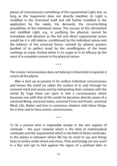planes of consciousness something of the supramental Light; but, so long as the Supermind does not directly manifest, its Light is modified in the Overmind itself and still further modified in the application by the needs, the demands, the circumscribing possibilities of the individual nature. The success of this diminished and modified Light, e.g., in purifying the physical, cannot be immediate and absolute as the full and direct supramental action would be; it is still relative, conditioned by the individual nature and the balance of the universal forces, resisted by adverse powers, baulked of its perfect result by the unwillingness of the lower workings to cease, limited either in its scope or in its efficacy by the want of a complete consent in the physical nature.

\* \* \*

The cosmic consciousness does not belong to Overmind in especial; it covers all the planes.

Man is shut up at present in his surface individual consciousness and knows the world (or rather the surface of it) only through his outward mind and senses and by interpreting their contacts with the world. By Yoga there can open in him a consciousness which becomes one with that of the world; he becomes directly aware of a universal Being, universal states, universal Force and Power, universal Mind, Life, Matter and lives in conscious relations with these things. He is then said to have cosmic consciousness.

\* \* \*

To fix a precise time is impossible except in the two regions of certitude – the pure material which is the field of mathematical certitudes and the Supramental which is the field of divine certitudes. In the planes in between where life has its word to say and things have to evolve under shock and stress, Time and Energy are too much in a flux and apt to kick against the rigour of a prefixed date or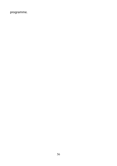programme.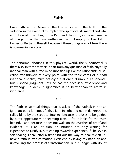# **Faith**

Have faith in the Divine, in the Divine Grace, in the truth of the sadhana, in the eventual triumph of the spirit over its mental and vital and physical difficulties, in the Path and the Guru, in the experience of things other than are written in the philosophy of Haeckel or Huxley or Bertrand Russell, because if these things are not true, there is no meaning in Yoga.

\* \* \*

The abnormal abounds in this physical world, the supernormal is there also. In these matters, apart from any question of faith, any truly rational man with a free mind (not tied up like the rationalists or socalled free-thinkers at every point with the triple cords of *a priori* irrational disbelief) must not cry out at once, "Humbug! Falsehood!" but suspend judgment until he has the necessary experience and knowledge. To deny in ignorance is no better than to affirm in ignorance.

\* \* \*

The faith in spiritual things that is asked of the sadhak is not an ignorant but a luminous faith, a faith in light and not in darkness. It is called blind by the sceptical intellect because it refuses to be guided by outer appearances or seeming facts, – for it looks for the truth behind, – and because it does not walk on the crutches of proof and evidence. It is an intuition, an intuition not only waiting for experience to justify it, but leading towards experience. If I believe in self-healing, I shall after a time find out the way to heal myself. If I have a faith in transformation, I can end by laying my hand on and unravelling the process of transformation. But if I begin with doubt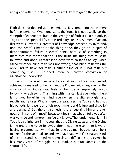and go on with more doubt, how far am I likely to go on the journey?

\* \* \*

Faith does not depend upon experience; it is something that is there before experience. When one starts the Yoga, it is not usually on the strength of experience, but on the strength of faith. It is so not only in Yoga and the spiritual life, but in ordinary life also. All men of action, discoverers, inventors, creators of knowledge proceed by faith and, until the proof is made or the thing done, they go on in spite of disappointment, failure, disproof, denial because of something in them that tells them that this is the truth, the thing that must be followed and done. Ramakrishna even went so far as to say, when asked whether blind faith was not wrong, that blind faith was the only kind to have, for faith is either blind or it is not faith but something else – reasoned inference, proved conviction or ascertained knowledge.

Faith is the soul's witness to something not yet manifested, achieved or realised, but which yet the Knower within us, even in the absence of all indications, feels to be true or supremely worth following or achieving. This thing within us can last even when there is no fixed belief in the mind, even when the vital struggles and revolts and refuses. Who is there that practises the Yoga and has not his periods, long periods of disappointment and failure and disbelief and darkness? But there is something that sustains him and even goes on in spite of himself, because it feels that what it followed after was yet true and it more than feels, it knows. The fundamental faith in Yoga is this, inherent in the soul, that the Divine exists and the Divine is the one thing to be followed after – nothing else in life is worth having in comparison with that. So long as a man has that faith, he is marked for the spiritual life and I will say that, even if his nature is full of obstacles and crammed with denials and difficulties, and even if he has many years of struggle, he is marked out for success in the spiritual life.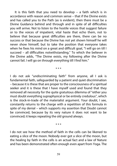It is this faith that you need to develop – a faith which is in accordance with reason and common sense – that if the Divine exists and has called you to the Path (as is evident), then there must be a Divine Guidance behind and through and in spite of all difficulties you will arrive. Not to listen to the hostile voices that suggest failure or to the voices of impatient, vital haste that echo them, not to believe that because great difficulties are there, there can be no success or that because the Divine has not yet shown himself he will never show himself, but to take the position that everyone takes when he fixes his mind on a great and difficult goal, "I will go on till I succeed – all difficulties notwithstanding." To which the believer in the Divine adds, "The Divine exists, my following after the Divine cannot fail. I will go on through everything till I find him."

I do not ask "undiscriminating faith" from anyone, all I ask is fundamental faith, safeguarded by a patient and quiet discrimination – because it is these that are proper to the consciousness of a spiritual seeker and it is these that I have myself used and found that they removed all necessity for the quite gratuitous dilemma of "either you must doubt everything supraphysical or be entirely credulous", which is the stock-in-trade of the materialist argument. Your doubt, I see, constantly returns to the charge with a repetition of this formula in spite of my denial – which supports my assertion that Doubt cannot be convinced, because by its very nature it does not want to be convinced; it keeps repeating the old ground always.

\* \* \*

\* \* \*

I do not see how the method of faith in the cells can be likened to eating a slice of the moon. Nobody ever got a slice of the moon, but the healing by faith in the cells is an actual fact and a law of Nature and has been demonstrated often enough even apart from Yoga. The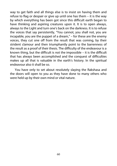way to get faith and all things else is to insist on having them and refuse to flag or despair or give up until one has them – it is the way by which everything has been got since this difficult earth began to have thinking and aspiring creatures upon it. It is to open always, always to the Light and turn one's back on the darkness. It is to refuse the voices that say persistently, "You cannot, you shall not, you are incapable, you are the puppet of a dream," – for these are the enemy voices, they cut one off from the result that was coming, by their strident clamour and then triumphantly point to the barrenness of the result as a proof of their thesis. The difficulty of the endeavour is a known thing, but the difficult is not the impossible – it is the difficult that has always been accomplished and the conquest of difficulties makes up all that is valuable in the earth's history. In the spiritual endeavour also it shall be so.

You have only to set about resolutely slaying the Rakshasa and the doors will open to you as they have done to many others who were held up by their own mind or vital nature.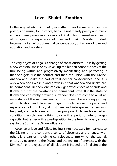## **Love – Bhakti – Emotion**

In the way of *ahaitukl bhakti,* everything can be made a means – poetry and music, for instance, become not merely poetry and music and not merely even an expression of Bhakti, but themselves a means of bringing the experience of love and Bhakti. Meditation itself becomes not an effort of mental concentration, but a flow of love and adoration and worship.

\* \* \*

The very object of Yoga is a change of consciousness – it is by getting a new consciousness or by unveiling the hidden consciousness of the true being within and progressively manifesting and perfecting it that one gets first the contact and then the union with the Divine. Ananda and Bhakti are part of that deeper consciousness and it is only when one lives in it and grows in it that Ananda and Bhakti can be permanent. Till then, one can only get experiences of Ananda and Bhakti, but not the constant and permanent state. But the state of Bhakti and constantly growing surrender does not come to all at an early stage of the sadhana; many, most indeed, have a long journey of purification and Tapasya to go through before it opens, and experiences of this kind, at first rare and interspersed, afterwards frequent, are the landmarks of their progress. It depends on certain conditions, which have nothing to do with superior or inferior Yogacapacity, but rather with a predisposition in the heart to open, as you say, to the Sun of the Divine Influence.

Absence of love and fellow-feeling is not necessary for nearness to the Divine; on the contrary, a sense of closeness and oneness with others is a part of the divine consciousness into which the sadhak enters by nearness to the Divine and the feeling of oneness with the Divine. An entire rejection of all relations is indeed the final aim of the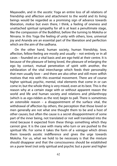Mayavadin, and in the ascetic Yoga an entire loss of all relations of friendship and affection and attachment to the world and its living beings would be regarded as a promising sign of advance towards liberation, *moksa* but even there, I think, a feeling of oneness and unattached spiritual sympathy for all is at least a penultimate stage, like the compassion of the Buddhist, before the turning to Moksha or Nirvana. In this Yoga the feeling of unity with others, love, universal joy and Ananda are an essential part of the liberation and perfection which are the aim of the sadhana.

On the other hand, human society, human friendship, love, affection, fellow-feeling are mostly and usually – not entirely or in all cases – founded on a vital basis and are ego-held at their centre. It is because of the pleasure of being loved, the pleasure of enlarging the ego by contact, mutual penetration of spirit with another, the exhilaration of the vital interchange which feeds their personality that men usually love – and there are also other and still more selfish motives that mix with this essential movement. There are of course higher spiritual, psychic, mental, vital elements that come in or can come in; but the whole thing is very mixed, even at its best. This is the reason why at a certain stage with or without apparent reason the world and life and human society and relations and philanthropy (which is as ego-ridden as the rest) begin to pall. There is sometimes an ostensible reason – a disappointment of the surface vital, the withdrawal of affection by others, the perception that those loved or men generally are not what one thought them to be and a host of other causes; but often the cause is a secret disappointment of some part of the inner being, not translated or not well translated into the mind because it expected from these things something which they cannot give. It is the case with many who turn or are pushed to the spiritual life. For some it takes the form of a *vairagya* which drives them towards ascetic indifference and gives the urge towards Moksha. For us, what we hold to be necessary is that the mixture should disappear and that the consciousness should be established on a purer level (not only spiritual and psychic but a purer and higher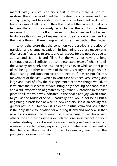mental, vital, physical consciousness) in which there is not this mixture. There one would feel the true Ananda of oneness and love and sympathy and fellowship, spiritual and self-existent in its basis but expressing itself through the other parts of the nature. If that is to happen, there must obviously be a change; the old form of these movements must drop off and leave room for a new and higher self to disclose its own way of expression and realisation of itself and of the Divine through these things – that is the inner truth of the matter.

I take it therefore that the condition you describe is a period of transition and change, negative in its beginning, as these movements often are at first, so as to create a vacant space for the new positive to appear and live in it and fill it. But the vital, not having a long continued or at all sufficient or complete experience of what is to fill the vacancy, feels only the loss and regrets it even while another part of the being, another part even of the vital, is ready to let go what is disappearing and does not yearn to keep it. If it were not for this movement of the vital, (which in your case has been very strong and large and avid of life), the disappearance of these things would, at least after the first sense of void, bring only a feeling of peace, relief and a still expectation of greater things. What is intended in the first place to fill the void was indicated in the peace and joy which came to you as the touch of Shiva – naturally, this would not be all but a beginning, a basis for a new self, a new consciousness, an activity of a greater nature; as I told you, it is a deep spiritual calm and peace that is the only stable foundation for a lasting Bhakti and Ananda. In that new consciousness there would be a new basis for relations with others; for an ascetic dryness or isolated loneliness cannot be your spiritual destiny since it is not consonant with your Swabhava which is made for joy, largeness, expansion, a comprehensive movement of the life-force. Therefore do not be discouraged; wait upon the purifying movement of Shiva.

\* \* \*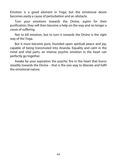Emotion is a good element in Yoga; but the emotional desire becomes easily a cause of perturbation and an obstacle.

Turn your emotions towards the Divine, aspire for their purification; they will then become a help on the way and no longer a cause of suffering.

Not to kill emotion, but to turn it towards the Divine is the right way of the Yoga.

But it must become pure, founded upon spiritual peace and joy, capable of being transmuted into Ananda. Equality and calm in the mind and vital parts, an intense psychic emotion in the heart can perfectly go together.

Awake by your aspiration the psychic fire in the heart that burns steadily towards the Divine – that is the one way to liberate and fulfil the emotional nature.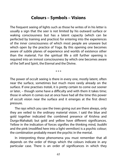## **Colours – Symbols – Visions**

The frequent seeing of lights such as those he writes of in his letter is usually a sign that the seer is not limited by his outward surface or waking consciousness but has a latent capacity (which can be perfected by training and practice) for entering into the experiences of the inner consciousness of which most people are unaware but which open by the practice of Yoga. By this opening one becomes aware of subtle planes of experience and worlds of existence other than the material. For the spiritual life a still further opening is required into an inmost consciousness by which one becomes aware of the Self and Spirit, the Eternal and the Divine.

\* \* \*

The power of occult seeing is there in every one, mostly latent, often near the surface, sometimes but much more rarely already on the surface. If one practises *tratak*, it is pretty certain to come out sooner or later, – though some have a difficulty and with them it takes time; those in whom it comes out at once have had all the time this power of occult vision near the surface and it emerges at the first direct pressure.

The rays which you saw the trees giving out are there always, only they are veiled to the ordinary material vision. I said the blue and gold together indicated the combined presence of Krishna and Durga-Mahakali; but gold and yellow have different significances. Yellow in the indication of forces signifies the thinking mind, *buddhi* and the pink (modified here into a light vermilion) is a psychic colour; the combination probably meant the psychic in the mental.

In interpreting these phenomena you must remember that all depends on the order of things which the colours indicate in any particular case. There is an order of significances in which they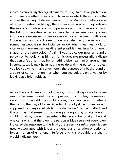indicate various psychological dynamisms, e.g., faith, love, protection, etc.; there is another order of significances in which they indicate the aura or the activity of divine beings, Krishna, Mahakali, Radha or else of other superhuman beings; there is another in which they indicate the aura around objects or living persons – and that does not exhaust the list of possibilities. A certain knowledge, experiences, growing intuition are necessary to perceive in each case the true significance. Observation and exact description are also very necessary; for sometimes people say, for instance, yellow when they mean gold or vice versa; there are besides different possible meanings for different shades of the same colour. Again, if you see colour near or round a person or by looking at him or her, it does not necessarily indicate that person's aura; it may be something else near him or around him. In some cases it may have nothing to do with the person or object you look at, which may serve merely the purpose of a background or a point of concentration – as when you see colours on a wall or by looking at a bright object.

\* \* \*

As for the exact symbolism of colours, it is not always easy to define exactly, because it is not rigid and precise, but complex, the meaning varying with the field, the combinations, the character and shades of the colour, the play of forces. A certain kind of yellow, for instance, is supposed by many occultists to indicate the *buddhi,* the intellect, and it often has that sense, but occurring among a play of vital forces it could not always be so interpreted – that would be too rigid. Here all one can say is that the blue (the particular blue seen, not every blue) indicated the response to the Truth; the green – or *this* green – is very usually associated with Life and a generous emanation or action of forces – often of emotional life-force, and it is probably this that it would indicate here.

\* \* \*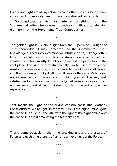Colour and light are always close to each other – colour being more indicative, light more dynamic. Colour incandescent becomes light.

Gold indicates at its most intense something from the Supramental, otherwise Overmind truth or intuitive truth deriving ultimately from the Supramental Truth Consciousness.

\* \* \*

The golden light is usually a light from the Supermind – a light of Truth-Knowledge (it may sometimes be the supramental Truth-Knowledge turned into overmind or intuitive truth). Orange often Indicates occult power. You have a strong power of (subjective) creative formation, mostly, I think, in the mental but partly too on the vital plane. This kind of formative faculty can be used for objective results if accompanied by a sound knowledge of the occult forces and their workings; but by itself it results more often in one's building up an inner world of one's own in which you can live very well satisfied, as long as you live in yourself,apart from any close contact with external physical life; but it does not stand the test of objective experience.

\* \* \*

That means the light of the divine consciousness (the Mother's Consciousness, white light) in the vital. Blue is the higher mind, gold the divine Truth. So it is the vital with the light of the higher mind and the divine Truth in it emanating the Mother's light.

\* \* \*

That is some obstacle in the mind breaking under the pressure of Force, and each time there is a flash and a movement of the Force.

\* \* \*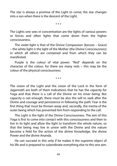The star is always a promise of the Light to come; the star changes into a sun when there is the descent of the Light.

\* \* \*

The Lights one sees in concentration are the lights of various powers or forces and often lights that come down from the higher consciousness.

The violet light is that of the Divine Compassion *(karuna* – Grace) – the white light is the light of the Mother (the Divine Consciousness) in which all others are contained and from which they can be manifested.

Purple is the colour of vital power. "Red" depends on the character of the colour, for there are many reds – this may be the colour of the physical consciousness.

\* \* \*

The vision of the Light and the vision of the Lord in the form of Jagannath are both of them indications that he has the capacity for Yoga and that there is a call of the Divine on his inner being. But capacity is not enough; there must be also the will to seek after the Divine and courage and persistence in following the path. Fear is the first thing that must be thrown away and, secondly, the inertia of the outer being which has prevented him from responding to the call.

The Light is the light of the Divine Consciousness. The aim of this Yoga is first to come into contact with this consciousness and then to live in its light and allow the light to transform the whole nature, so that the being may live in union with the Divine and the nature become a field for the action of the divine Knowledge, the divine Power and the divine Ananda.

He can succeed in this only if he makes it the supreme object of his life and is prepared to subordinate everything else to this one aim.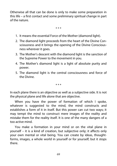Otherwise all that can be done is only to make some preparation in this life – a first contact and some preliminary spiritual change in part of the nature.

\* \* \*

- 1. It means the essential Force of the Mother (diamond light).
- 2. The diamond light proceeds from the heart of the Divine Consciousness and it brings the opening of the Divine Consciousness wherever it goes.
- 3. The Mother's descent with the diamond light is the sanction of the Supreme Power to the movement in you.
- 4. The Mother's diamond light is a light of absolute purity and power.
- 5. The diamond light is the central consciousness and force of the Divine.

\* \* \*

In each plane there is an objective as well as a subjective side. It is not the physical plane and life alone that are objective.

When you have the power of formation of which I spoke, whatever is suggested to the mind, the mind constructs and establishes a form of it in itself. But this power can cut two ways; it may tempt the mind to construct mere images of the reality and mistake them for the reality itself. It is one of the many dangers of a too active mind.

You make a formation in your mind or on the vital plane in yourself – it is a kind of creation, but subjective only; it affects only your own mental or vital being. You can create by ideas, thoughtforms, images, a whole world in yourself or for yourself; but it stops there.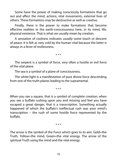Some have the power of making consciously formations that go out and affect the mind, actions, vital movements, external lives of others. These formations may be destructive as well as creative.

Finally, there is the power to make formations that become effective realities in the earth-consciousness here, in its mind, life, physical existence. That is what we usually mean by creation.

A sensation of coolness indicates usually some touch or descent of peace. It is felt as very cold by the human vital because the latter is always in a fever of restlessness.

\* \* \*

The serpent is a symbol of force, very often a hostile or evil force of the vital plane.

The sea is a symbol of a plane of consciousness.

The white light is a manifestation of pure divine force descending from one of the truth-planes leading to the supramental.

\* \* \*

When you see a square, that is a symbol of complete creation; when you see a buffalo rushing upon you and missing and feel you have escaped a great danger, that is a transcription. Something actually happened of which the buffalo's ineffectual rush was your mind's transcription – the rush of some hostile force represented by the buffalo.

\* \* \*

The arrow is the symbol of the Force which goes to its aim. Gold=the Truth, Yellow=the mind, Green=the vital energy. The arrow of the spiritual Truth using the mind and the vital energy.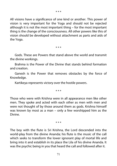All visions have a significance of one kind or another. This power of vision is very important for the Yoga and should not be rejected although it is not the most important thing – for the most important thing is the change of the consciousness. All other powers like this of vision should be developed without attachment as parts and aids of the Yoga.

\* \* \*

Gods. These are Powers that stand above the world and transmit the divine workings.

Brahma is the Power of the Divine that stands behind formation and creation.

Ganesh is the Power that removes obstacles by the force of Knowledge.

Kartikeya represents victory over the hostile powers.

\* \* \*

Those who were with Krishna were in all appearance men like other men. They spoke and acted with each other as men with men and were not thought of by those around them as gods. Krishna himself was known by most as a man – only a few worshipped him as the Divine.

\* \* \*

The boy with the flute is Sri Krishna, the Lord descended into the world-play from the divine Ananda; his flute is the music of the call which seeks to transform the lower ignorant play of mortal life and bring into it and establish in its place the Lila of his divine Ananda. It was the psychic being in you that heard the call and followed after it.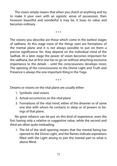The vision simply means that when you clutch at anything and try to make it your own with an egoistic sense of possession, then however beautiful and wonderful it may be, it loses its value and becomes ordinary.

\* \* \*

The visions you describe are those which come in the earliest stages of sadhana. At this stage most of the things seen are formations of the mental plane and it is not always possible to put on them a precise significance; for, they depend on the individual mind of the Sadhak. At a later stage the power of vision becomes important for the sadhana, but at first one has to go on without attaching excessive importance to the details – until the consciousness develops more. The opening of the consciousness to the Divine Light and Truth and Presence is always the one important thing in the Yoga.

\* \* \*

Dreams or visions on the vital plane are usually either

- 1. Symbolic vital visions
- 2. Actual occurrences on the vital plane
- 3. Formations of the vital mind, either of the dreamer or of some one else with whom he contacts in sleep or of powers or beings of that plane.

No great reliance can be put on this kind of experience, even the first having only a relative or suggestive value, while the second and third are often quite misleading.

 1. The lid of the skull opening means that the mental being has opened to the Divine Light, and the flames indicate aspirations filled with the Light arising to join the mental part to what is above Mind.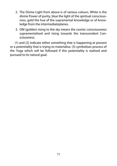- 2. The Divine Light from above is of various colours. White is the divine Power of purity, blue the light of the spiritual consciousness, gold the hue of the supramental knowledge or of knowledge from the intermediateplanes.
- 3. OM (golden) rising to the sky means the cosmic consciousness supramentalised and rising towards the transcendent Consciousness.

(1) and (2) indicate either something that is happening at present or a potentiality that is trying to materialise. (3) symbolises process of the Yoga which will be followed if this potentiality is realised and pursued to its natural goal.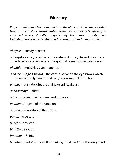## **Glossary**

*Proper names have been omitted from the glossary. All words are listed here in their strict transliterated form; Sri Aurobindo's spelling is indicated where it differs significantly from this transliteration. Definitions are given in Sri Aurobindo's own words as far as possible*

*abhyasa* – steady practice.

*adhar(a)* – vessel, receptacle; the system of mind, life and body considered as a receptacle of the spiritual consciousness and force.

*ahaitukl* – motiveless, spontaneous.

*ajnacakra* (Ajna Chakra) – the centre between the eye-brows which governs the dynamic mind, will, vision, mental formation.

*ananda* – bliss, delight; the divine or spiritual bliss.

*anandamaya* – blissful.

*anityam asukham* – transient and unhappy.

*anumantd* – giver of the sanction.

*aradhana* – worship of the Divine.

*atman* – true self.

*bhakta* – devotee.

*bhakti* – devotion.

*brahman* – Spirit.

*buddheh paratah* – above the thinking mind. *buddhi* – thinking mind.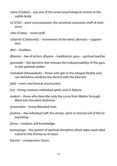- *cakra* (Chakra) any one of the seven psychological centres in the subtle body.
- *cit* (Chit) pure consciousness; the universal conscious-stuff of existence.
- *citta* (Chitta) mind-stuff.
- *cittavrtti* (Chittavritti) movement of the mind. *damana* suppression.
- *devi* Goddess.
- *dharma* law of action. *dhyana* meditation. *guru* spiritual teacher.
- *guruvada* the doctrine that stresses the indispensability of the *guru* to the spiritual seeker.
- *isvarakoti* (Ishwarakoti) those who get to the integral Reality and can therefore combine the Ascent with the Descent.
- *jada* inert, mechanical, inconscient.
- *jiva* living creature; individual spirit, soul in Nature.
- *jivakoti* those who describe only the curve from Matter through Mind into the silent *brahman*
- *jivanmukta* living liberated man.
- *jivatma* the individual self; the *atman,* spirit or eternal self of the living being.
- *jhana* wisdom; self-knowledge.
- *karmayoga* the system of spiritual discipline which takes work (dedicated to the Divine) as its basis.
- *karuna* compassion; Grace.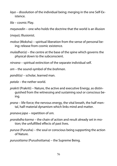- *laya* dissolution of the individual being; merging in the one Self-Existence.
- *lila* cosmic Play.
- *mayavadin* one who holds the doctrine that the world is an illusion
- (*maya*); Illusionist.
- *moksa* (Moksha) spiritual liberation from the sense of personal being; release from cosmic existence.
- *muladhar(a)* the centre at the base of the spine which governs the physical down to the subconscient.
- *nirvana* spiritual extinction of the separate individual self.
- *om* the sound-symbol of the *brahman.*
- *pandit(a)* scholar, learned man.
- *patala* the nether world.
- *prakrti* (Prakriti) Nature, the active and executive Energy, as distinguished from the witnessing and sustaining soul or conscious being.
- *prana* life-force; the nervous energy, the vital breath, the half mental, half-material dynamism which links mind and matter.
- *pranava japa* repetition of *om.*
- *prarabdha karma* the chain of action and result already set in motion; the unfulfilled effects of past lives.
- *purusa* (Purusha) the soul or conscious being supporting the action of Nature.
- *purusottama* (Purushottama) the Supreme Being.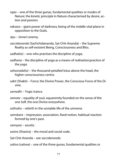- *rajas* one of the three gunas, fundamental qualities or modes of Nature; the kinetic principle in Nature characterised by desire, action and passion.
- *raksasa* giant power of darkness; being of the middle vital plane in opposition to the Gods.
- *ripu* (inner) enemy.
- *saccidananda* (Sachchidananda, Sat-Chit-Ananda) the Supreme Reality as self-existent Being, Consciousness and Bliss.
- *sadhak(a)* one who practises the discipline of *yoga,*
- *sadhana* the discipline of yoga as a means of realisation;practice of the *yoga.*
- *sahasradal(a)* the thousand-petalled lotus above the head, the higher consciousness centre.
- *sakti* (Shakti) Force; the Divine Power, the Conscious Force of the Divine.
- *samadhi* Yogic trance.
- *samata* equality of soul, equanimity founded on the sense of the one Self, the one Divine everywhere.
- *sathsdra* rebirth in the unstable life of the universe.
- *samskara* impression, association, fixed notion, habitual reaction formed by one's past.
- *sannyasi* ascetic.
- *sastra* (Shastra) the moral and social code.
- Sat-Chit-Ananda see *saccidananda.*
- *sattva* (sattwa) one of the three gunas, fundamental qualities or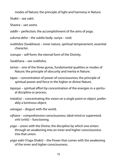modes of Nature; the principle of light and harmony in Nature.

Shakti – see *sakti.*

Shastra – see *sastra.*

*siddhi* – perfection; the accomplishment of the aims of yoga.

*suksma deha* – the subtle body. sunya – void.

*svabhdva* (Swabhava) – inner nature, spiritual temperament, essential character.

*svarupa* – self-form; the eternal form of the Divinity.

Swabhava – see *svabhdva.*

- *tamas* one of the three gunas, fundamental qualities or modes of Nature; the principle of obscurity and inertia in Nature.
- *tapas* concentration of power of consciousness; the principle of spiritual power and force in the higher or divine Nature.
- *tapasya* spiritual effort by concentration of the energies in a spiritual discipline or process.
- *tratak(a)* concentrating the vision on a single point or object, preferably a luminous object.
- *vairagya* disgust with the world.
- *vijhana* comprehensive consciousness; ideal mind or supermind. *vrtti* (vritti) – functioning.
- *yoga* union with the Divine; the discipline by which one enters through an awakening into an inner and higher consciousness into that union.
- *yoga-sakti* (Yoga-Shakti) the Power that comes with the awakening of the inner and higher consciousness.